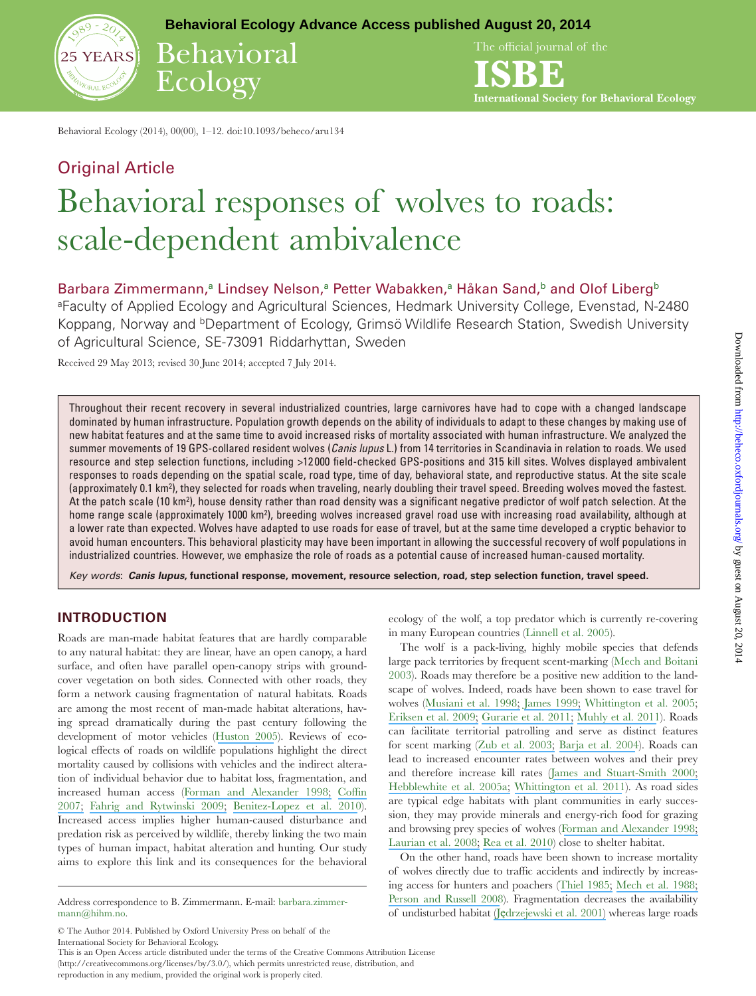

**Behavioral Ecology Advance Access published August 20, 2014**

Behavioral Ecology

The official journal of the

**ISBE International Society for Behavioral Ecology**

Behavioral Ecology (2014), 00(00), 1–12. doi:10.1093/beheco/aru134

# Original Article Behavioral responses of wolves to roads: scale-dependent ambivalence

Barbara Zimmermann,<sup>a</sup> Lindsey Nelson,<sup>a</sup> Petter Wabakken,<sup>a</sup> Håkan Sand,<sup>b</sup> and Olof Liberg<sup>b</sup>

<sup>a</sup>Faculty of Applied Ecology and Agricultural Sciences, Hedmark University College, Evenstad, N-2480 Koppang, Norway and <sup>b</sup>Department of Ecology, Grimsö Wildlife Research Station, Swedish University of Agricultural Science, SE-73091 Riddarhyttan, Sweden

Received 29 May 2013; revised 30 June 2014; accepted 7 July 2014.

Throughout their recent recovery in several industrialized countries, large carnivores have had to cope with a changed landscape dominated by human infrastructure. Population growth depends on the ability of individuals to adapt to these changes by making use of new habitat features and at the same time to avoid increased risks of mortality associated with human infrastructure. We analyzed the summer movements of 19 GPS-collared resident wolves (Canis lupus L.) from 14 territories in Scandinavia in relation to roads. We used resource and step selection functions, including >12 000 ield-checked GPS-positions and 315 kill sites. Wolves displayed ambivalent responses to roads depending on the spatial scale, road type, time of day, behavioral state, and reproductive status. At the site scale (approximately 0.1 km<sup>2</sup>), they selected for roads when traveling, nearly doubling their travel speed. Breeding wolves moved the fastest. At the patch scale (10 km²), house density rather than road density was a significant negative predictor of wolf patch selection. At the home range scale (approximately 1000 km²), breeding wolves increased gravel road use with increasing road availability, although at a lower rate than expected. Wolves have adapted to use roads for ease of travel, but at the same time developed a cryptic behavior to avoid human encounters. This behavioral plasticity may have been important in allowing the successful recovery of wolf populations in industrialized countries. However, we emphasize the role of roads as a potential cause of increased human-caused mortality.

Key words: **Canis lupus, functional response, movement, resource selection, road, step selection function, travel speed.**

# **INTRODUCTION**

Roads are man-made habitat features that are hardly comparable to any natural habitat: they are linear, have an open canopy, a hard surface, and often have parallel open-canopy strips with groundcover vegetation on both sides. Connected with other roads, they form a network causing fragmentation of natural habitats. Roads are among the most recent of man-made habitat alterations, having spread dramatically during the past century following the development of motor vehicles ([Huston 2005](https://www.researchgate.net/publication/50280957_The_Three_Phases_of_Land-Use_Change_Implications_for_Biodiversity?el=1_x_8&enrichId=rgreq-d7f53fd3-3807-464e-924a-facfd221f042&enrichSource=Y292ZXJQYWdlOzI2NTA2NTcwMDtBUzoxNDUyOTg1ODAwNTQwMTZAMTQxMTY1MzI4OTQ3MA==)). Reviews of ecological efects of roads on wildlife populations highlight the direct mortality caused by collisions with vehicles and the indirect alteration of individual behavior due to habitat loss, fragmentation, and increased human access ([Forman and Alexander 1998;](https://www.researchgate.net/publication/223995573_Roads_and_Their_Major_Ecological_Effects?el=1_x_8&enrichId=rgreq-d7f53fd3-3807-464e-924a-facfd221f042&enrichSource=Y292ZXJQYWdlOzI2NTA2NTcwMDtBUzoxNDUyOTg1ODAwNTQwMTZAMTQxMTY1MzI4OTQ3MA==) Coffin [2007;](https://www.researchgate.net/publication/222688089_From_Roadkill_to_Road_Ecology_A_Review_of_the_Ecological_Effect_of_Roads?el=1_x_8&enrichId=rgreq-d7f53fd3-3807-464e-924a-facfd221f042&enrichSource=Y292ZXJQYWdlOzI2NTA2NTcwMDtBUzoxNDUyOTg1ODAwNTQwMTZAMTQxMTY1MzI4OTQ3MA==) [Fahrig and Rytwinski 2009;](https://www.researchgate.net/publication/285189261_Effects_of_roads_on_animal_abundance_An_empirical_review_and_synthesis?el=1_x_8&enrichId=rgreq-d7f53fd3-3807-464e-924a-facfd221f042&enrichSource=Y292ZXJQYWdlOzI2NTA2NTcwMDtBUzoxNDUyOTg1ODAwNTQwMTZAMTQxMTY1MzI4OTQ3MA==) [Benitez-Lopez et al. 2010](https://www.researchgate.net/publication/50925955_The_impacts_of_roads_and_other_infrastructure_on_mammal_and_bird_populations_a_meta-analysis_Biol_Conserv?el=1_x_8&enrichId=rgreq-d7f53fd3-3807-464e-924a-facfd221f042&enrichSource=Y292ZXJQYWdlOzI2NTA2NTcwMDtBUzoxNDUyOTg1ODAwNTQwMTZAMTQxMTY1MzI4OTQ3MA==)). Increased access implies higher human-caused disturbance and predation risk as perceived by wildlife, thereby linking the two main types of human impact, habitat alteration and hunting. Our study aims to explore this link and its consequences for the behavioral

(http://creativecommons.org/licenses/by/3.0/), which permits unrestricted reuse, distribution, and

reproduction in any medium, provided the original work is properly cited.

ecology of the wolf, a top predator which is currently re-covering in many European countries (Linnell et al. 2005).

The wolf is a pack-living, highly mobile species that defends large pack territories by frequent scent-marking (Mech and Boitani 2003). Roads may therefore be a positive new addition to the landscape of wolves. Indeed, roads have been shown to ease travel for wolves ([Musiani et al. 1998;](https://www.researchgate.net/publication/272903112_Jedrzejewski_Speed_and_actual_distances_travelled_by_radiocollared_wolves_in_Bialowieza_Primeval_Forest_Poland?el=1_x_8&enrichId=rgreq-d7f53fd3-3807-464e-924a-facfd221f042&enrichSource=Y292ZXJQYWdlOzI2NTA2NTcwMDtBUzoxNDUyOTg1ODAwNTQwMTZAMTQxMTY1MzI4OTQ3MA==) [James 1999;](https://www.researchgate.net/publication/34770400_Effects_of_industrial_development_on_the_predator-prey_relationship_between_wolves_and_caribou_in_northeastern_Alberta?el=1_x_8&enrichId=rgreq-d7f53fd3-3807-464e-924a-facfd221f042&enrichSource=Y292ZXJQYWdlOzI2NTA2NTcwMDtBUzoxNDUyOTg1ODAwNTQwMTZAMTQxMTY1MzI4OTQ3MA==) Whittington et al. 2005; [Eriksen et al. 2009;](https://www.researchgate.net/publication/225175464_Encounter_frequencies_between_GPS-collared_wolves_Canis_lupus_and_moose_Alces_alces_in_a_Scandinavian_wolf_territory?el=1_x_8&enrichId=rgreq-d7f53fd3-3807-464e-924a-facfd221f042&enrichSource=Y292ZXJQYWdlOzI2NTA2NTcwMDtBUzoxNDUyOTg1ODAwNTQwMTZAMTQxMTY1MzI4OTQ3MA==) [Gurarie et al. 2011;](https://www.researchgate.net/publication/49729793_Summer_movements_predation_and_habitat_use_of_wolves_in_human-modified_boreal_forests?el=1_x_8&enrichId=rgreq-d7f53fd3-3807-464e-924a-facfd221f042&enrichSource=Y292ZXJQYWdlOzI2NTA2NTcwMDtBUzoxNDUyOTg1ODAwNTQwMTZAMTQxMTY1MzI4OTQ3MA==) [Muhly et al. 2011](https://www.researchgate.net/publication/50377303_Human_Activity_Helps_Prey_Win_the_Predator-Prey_Space_Race?el=1_x_8&enrichId=rgreq-d7f53fd3-3807-464e-924a-facfd221f042&enrichSource=Y292ZXJQYWdlOzI2NTA2NTcwMDtBUzoxNDUyOTg1ODAwNTQwMTZAMTQxMTY1MzI4OTQ3MA==)). Roads can facilitate territorial patrolling and serve as distinct features for scent marking ([Zub et al. 2003;](https://www.researchgate.net/publication/237835635_Wolf_Pack_Territory_Marking_in_the_Bialowieza_Primeval_Forest_Poland?el=1_x_8&enrichId=rgreq-d7f53fd3-3807-464e-924a-facfd221f042&enrichSource=Y292ZXJQYWdlOzI2NTA2NTcwMDtBUzoxNDUyOTg1ODAwNTQwMTZAMTQxMTY1MzI4OTQ3MA==) [Barja et al. 2004](https://www.researchgate.net/publication/8363407_The_importance_of_crossroads_in_faecal_marking_behaviour_in_wolves_Canis_lupus?el=1_x_8&enrichId=rgreq-d7f53fd3-3807-464e-924a-facfd221f042&enrichSource=Y292ZXJQYWdlOzI2NTA2NTcwMDtBUzoxNDUyOTg1ODAwNTQwMTZAMTQxMTY1MzI4OTQ3MA==)). Roads can lead to increased encounter rates between wolves and their prey and therefore increase kill rates ([James and Stuart-Smith 2000;](https://www.researchgate.net/publication/280799523_Distribution_of_caribou_and_wolves_in_relation_to_linear_corridors?el=1_x_8&enrichId=rgreq-d7f53fd3-3807-464e-924a-facfd221f042&enrichSource=Y292ZXJQYWdlOzI2NTA2NTcwMDtBUzoxNDUyOTg1ODAwNTQwMTZAMTQxMTY1MzI4OTQ3MA==) [Hebblewhite et al. 2005a;](https://www.researchgate.net/publication/230207183_Spatial_decomposition_of_predation_risk_using_resource_selection_functions_An_example_in_a_wolf-elk_predator-prey_system?el=1_x_8&enrichId=rgreq-d7f53fd3-3807-464e-924a-facfd221f042&enrichSource=Y292ZXJQYWdlOzI2NTA2NTcwMDtBUzoxNDUyOTg1ODAwNTQwMTZAMTQxMTY1MzI4OTQ3MA==) [Whittington et al. 2011](https://www.researchgate.net/publication/225292468_Caribou_encounters_with_wolves_increase_near_roads_and_trails_A_time-to-event_approach?el=1_x_8&enrichId=rgreq-d7f53fd3-3807-464e-924a-facfd221f042&enrichSource=Y292ZXJQYWdlOzI2NTA2NTcwMDtBUzoxNDUyOTg1ODAwNTQwMTZAMTQxMTY1MzI4OTQ3MA==)). As road sides are typical edge habitats with plant communities in early succession, they may provide minerals and energy-rich food for grazing and browsing prey species of wolves ([Forman and Alexander 1998;](https://www.researchgate.net/publication/223995573_Roads_and_Their_Major_Ecological_Effects?el=1_x_8&enrichId=rgreq-d7f53fd3-3807-464e-924a-facfd221f042&enrichSource=Y292ZXJQYWdlOzI2NTA2NTcwMDtBUzoxNDUyOTg1ODAwNTQwMTZAMTQxMTY1MzI4OTQ3MA==) [Laurian et al. 2008;](https://www.researchgate.net/publication/229981866_Behavior_of_Moose_Relative_to_a_Road_Network?el=1_x_8&enrichId=rgreq-d7f53fd3-3807-464e-924a-facfd221f042&enrichSource=Y292ZXJQYWdlOzI2NTA2NTcwMDtBUzoxNDUyOTg1ODAwNTQwMTZAMTQxMTY1MzI4OTQ3MA==) [Rea et al. 2010](https://www.researchgate.net/publication/44602944_Road_and_Rail_Side_Vegetation_Management_Implications_of_Habitat_Use_by_Moose_Relative_to_Brush_Cutting_Season?el=1_x_8&enrichId=rgreq-d7f53fd3-3807-464e-924a-facfd221f042&enrichSource=Y292ZXJQYWdlOzI2NTA2NTcwMDtBUzoxNDUyOTg1ODAwNTQwMTZAMTQxMTY1MzI4OTQ3MA==)) close to shelter habitat.

On the other hand, roads have been shown to increase mortality of wolves directly due to traffic accidents and indirectly by increasing access for hunters and poachers ([Thiel 1985;](https://www.researchgate.net/publication/216814647_Relationship_between_Road_Densities_and_Wolf_Habitat_Suitability_in_Wisconsin?el=1_x_8&enrichId=rgreq-d7f53fd3-3807-464e-924a-facfd221f042&enrichSource=Y292ZXJQYWdlOzI2NTA2NTcwMDtBUzoxNDUyOTg1ODAwNTQwMTZAMTQxMTY1MzI4OTQ3MA==) [Mech et al. 1988;](https://www.researchgate.net/publication/284040492_Wolf_distribution_and_road_density_in_Minnesota?el=1_x_8&enrichId=rgreq-d7f53fd3-3807-464e-924a-facfd221f042&enrichSource=Y292ZXJQYWdlOzI2NTA2NTcwMDtBUzoxNDUyOTg1ODAwNTQwMTZAMTQxMTY1MzI4OTQ3MA==) [Person and Russell 2008](https://www.researchgate.net/publication/227894484_Correlates_of_Mortality_in_an_Exploited_Wolf_Population?el=1_x_8&enrichId=rgreq-d7f53fd3-3807-464e-924a-facfd221f042&enrichSource=Y292ZXJQYWdlOzI2NTA2NTcwMDtBUzoxNDUyOTg1ODAwNTQwMTZAMTQxMTY1MzI4OTQ3MA==)). Fragmentation decreases the availability of undisturbed habitat (Ję[drzejewski et al. 2001\)](https://www.researchgate.net/publication/237971109_Daily_movements_and_territory_use_by_radio-collared_wolves_Canis_lupus_in_Bialowieza_Primeval_Forest_in_Poland?el=1_x_8&enrichId=rgreq-d7f53fd3-3807-464e-924a-facfd221f042&enrichSource=Y292ZXJQYWdlOzI2NTA2NTcwMDtBUzoxNDUyOTg1ODAwNTQwMTZAMTQxMTY1MzI4OTQ3MA==) whereas large roads

Address correspondence to B. Zimmermann. E-mail: [barbara.zimmer](mailto:barbara.zimmermann@hihm.no?subject=)[mann@hihm.no](mailto:barbara.zimmermann@hihm.no?subject=).

<sup>©</sup> The Author 2014. Published by Oxford University Press on behalf of the International Society for Behavioral Ecology. This is an Open Access article distributed under the terms of the Creative Commons Attribution License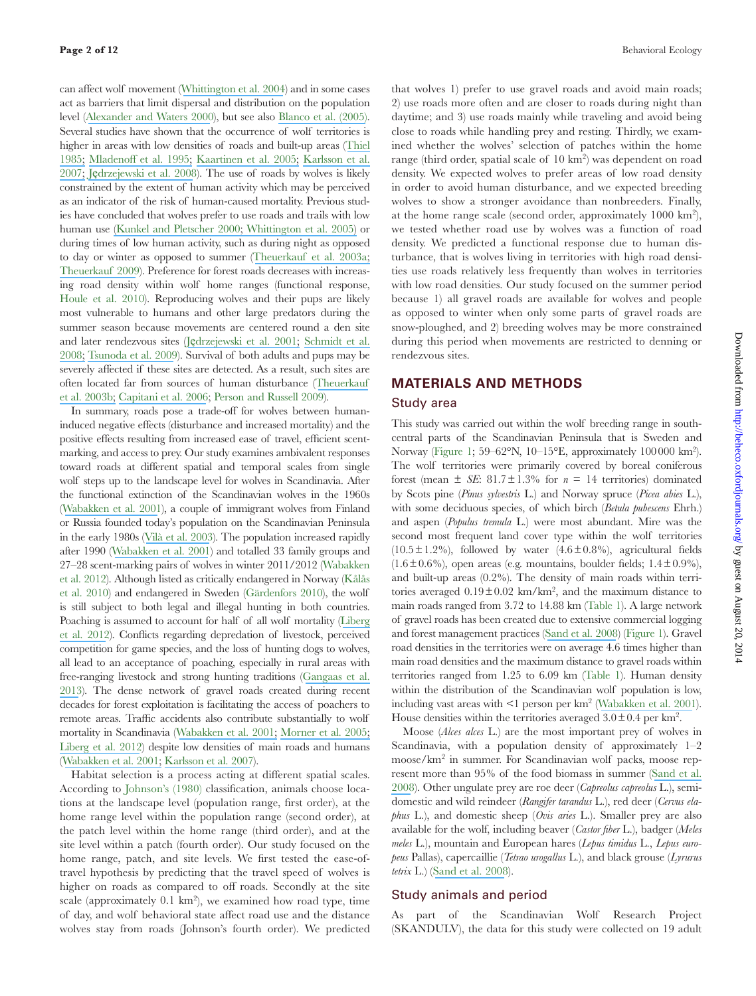can afect wolf movement ([Whittington et al. 2004](https://www.researchgate.net/publication/42763684_Path_Tortuosity_and_the_Permeability_of_Roads_and_Trails_to_Wolf_Movement?el=1_x_8&enrichId=rgreq-d7f53fd3-3807-464e-924a-facfd221f042&enrichSource=Y292ZXJQYWdlOzI2NTA2NTcwMDtBUzoxNDUyOTg1ODAwNTQwMTZAMTQxMTY1MzI4OTQ3MA==)) and in some cases act as barriers that limit dispersal and distribution on the population level ([Alexander and Waters 2000](https://www.researchgate.net/publication/223770723_The_effects_of_highway_transportation_corridors_on_wildlife_A_case_study_of_Banff_National_Park?el=1_x_8&enrichId=rgreq-d7f53fd3-3807-464e-924a-facfd221f042&enrichSource=Y292ZXJQYWdlOzI2NTA2NTcwMDtBUzoxNDUyOTg1ODAwNTQwMTZAMTQxMTY1MzI4OTQ3MA==)), but see also [Blanco et al. \(2005\)](https://www.researchgate.net/publication/239804728_Wolf_response_to_two_kind_of_barriers_in_an_agricultural_habitat_in_Spain?el=1_x_8&enrichId=rgreq-d7f53fd3-3807-464e-924a-facfd221f042&enrichSource=Y292ZXJQYWdlOzI2NTA2NTcwMDtBUzoxNDUyOTg1ODAwNTQwMTZAMTQxMTY1MzI4OTQ3MA==). Several studies have shown that the occurrence of wolf territories is higher in areas with low densities of roads and built-up areas ([Thiel](https://www.researchgate.net/publication/216814647_Relationship_between_Road_Densities_and_Wolf_Habitat_Suitability_in_Wisconsin?el=1_x_8&enrichId=rgreq-d7f53fd3-3807-464e-924a-facfd221f042&enrichSource=Y292ZXJQYWdlOzI2NTA2NTcwMDtBUzoxNDUyOTg1ODAwNTQwMTZAMTQxMTY1MzI4OTQ3MA==)  [1985;](https://www.researchgate.net/publication/216814647_Relationship_between_Road_Densities_and_Wolf_Habitat_Suitability_in_Wisconsin?el=1_x_8&enrichId=rgreq-d7f53fd3-3807-464e-924a-facfd221f042&enrichSource=Y292ZXJQYWdlOzI2NTA2NTcwMDtBUzoxNDUyOTg1ODAwNTQwMTZAMTQxMTY1MzI4OTQ3MA==) Mladenoff et al. 1995; [Kaartinen et al. 2005;](https://www.researchgate.net/publication/233588950_Finnish_wolves_avoid_roads_and_settlements?el=1_x_8&enrichId=rgreq-d7f53fd3-3807-464e-924a-facfd221f042&enrichSource=Y292ZXJQYWdlOzI2NTA2NTcwMDtBUzoxNDUyOTg1ODAwNTQwMTZAMTQxMTY1MzI4OTQ3MA==) Karlsson et al. [2007;](https://www.researchgate.net/publication/229531636_Predicting_occurrence_of_wolf_territories_in_Scandinavia?el=1_x_8&enrichId=rgreq-d7f53fd3-3807-464e-924a-facfd221f042&enrichSource=Y292ZXJQYWdlOzI2NTA2NTcwMDtBUzoxNDUyOTg1ODAwNTQwMTZAMTQxMTY1MzI4OTQ3MA==) Ję[drzejewski et al. 2008](https://www.researchgate.net/publication/52006150_Habitat_suitability_model_for_Polish_wolves_Canis_lupus_based_on_long-term_national_census?el=1_x_8&enrichId=rgreq-d7f53fd3-3807-464e-924a-facfd221f042&enrichSource=Y292ZXJQYWdlOzI2NTA2NTcwMDtBUzoxNDUyOTg1ODAwNTQwMTZAMTQxMTY1MzI4OTQ3MA==)). The use of roads by wolves is likely constrained by the extent of human activity which may be perceived as an indicator of the risk of human-caused mortality. Previous studies have concluded that wolves prefer to use roads and trails with low human use [\(Kunkel and Pletscher 2000; Whittington et al. 2005\)](https://www.researchgate.net/publication/228835364_Spatial_responses_of_wolves_to_roads_and_trails_in_Jasper_National_Park?el=1_x_8&enrichId=rgreq-d7f53fd3-3807-464e-924a-facfd221f042&enrichSource=Y292ZXJQYWdlOzI2NTA2NTcwMDtBUzoxNDUyOTg1ODAwNTQwMTZAMTQxMTY1MzI4OTQ3MA==) or during times of low human activity, such as during night as opposed to day or winter as opposed to summer ([Theuerkauf et al. 2003a;](https://www.researchgate.net/publication/237596412_Spatiotemporal_Segregation_of_Wolves_from_Humans_in_the_Bialowieza_Forest_Poland?el=1_x_8&enrichId=rgreq-d7f53fd3-3807-464e-924a-facfd221f042&enrichSource=Y292ZXJQYWdlOzI2NTA2NTcwMDtBUzoxNDUyOTg1ODAwNTQwMTZAMTQxMTY1MzI4OTQ3MA==)  [Theuerkauf 2009](https://www.researchgate.net/publication/229694396_What_Drives_Wolves_Fear_or_Hunger_Humans_Diet_Climate_and_Wolf_Activity_Patterns?el=1_x_8&enrichId=rgreq-d7f53fd3-3807-464e-924a-facfd221f042&enrichSource=Y292ZXJQYWdlOzI2NTA2NTcwMDtBUzoxNDUyOTg1ODAwNTQwMTZAMTQxMTY1MzI4OTQ3MA==)). Preference for forest roads decreases with increasing road density within wolf home ranges (functional response, Houle et al. 2010). Reproducing wolves and their pups are likely most vulnerable to humans and other large predators during the summer season because movements are centered round a den site and later rendezvous sites (Ję[drzejewski et al. 2001;](https://www.researchgate.net/publication/249542043_Daily_movements_and_territory_use_by_radio-collared_wolves_Canis_lupus_in_Bialowieza_Primeval_Forest_in_Poland?el=1_x_8&enrichId=rgreq-d7f53fd3-3807-464e-924a-facfd221f042&enrichSource=Y292ZXJQYWdlOzI2NTA2NTcwMDtBUzoxNDUyOTg1ODAwNTQwMTZAMTQxMTY1MzI4OTQ3MA==) [Schmidt et al.](https://www.researchgate.net/publication/225648196_Reproductive_behaviour_of_wild-living_wolves_in_Bialowieza_Primeval_Forest_Poland?el=1_x_8&enrichId=rgreq-d7f53fd3-3807-464e-924a-facfd221f042&enrichSource=Y292ZXJQYWdlOzI2NTA2NTcwMDtBUzoxNDUyOTg1ODAwNTQwMTZAMTQxMTY1MzI4OTQ3MA==)  [2008;](https://www.researchgate.net/publication/225648196_Reproductive_behaviour_of_wild-living_wolves_in_Bialowieza_Primeval_Forest_Poland?el=1_x_8&enrichId=rgreq-d7f53fd3-3807-464e-924a-facfd221f042&enrichSource=Y292ZXJQYWdlOzI2NTA2NTcwMDtBUzoxNDUyOTg1ODAwNTQwMTZAMTQxMTY1MzI4OTQ3MA==) [Tsunoda et al. 2009](https://www.researchgate.net/publication/227147024_How_does_parental_role_influence_the_activity_and_movements_of_breeding_wolves?el=1_x_8&enrichId=rgreq-d7f53fd3-3807-464e-924a-facfd221f042&enrichSource=Y292ZXJQYWdlOzI2NTA2NTcwMDtBUzoxNDUyOTg1ODAwNTQwMTZAMTQxMTY1MzI4OTQ3MA==)). Survival of both adults and pups may be severely affected if these sites are detected. As a result, such sites are often located far from sources of human disturbance ([Theuerkauf](https://www.researchgate.net/publication/237603268_Selection_of_den_rendezvous_and_resting_sites_by_wolves_in_the_Bialowieza_Forest_Poland?el=1_x_8&enrichId=rgreq-d7f53fd3-3807-464e-924a-facfd221f042&enrichSource=Y292ZXJQYWdlOzI2NTA2NTcwMDtBUzoxNDUyOTg1ODAwNTQwMTZAMTQxMTY1MzI4OTQ3MA==) [et al. 2003b;](https://www.researchgate.net/publication/237603268_Selection_of_den_rendezvous_and_resting_sites_by_wolves_in_the_Bialowieza_Forest_Poland?el=1_x_8&enrichId=rgreq-d7f53fd3-3807-464e-924a-facfd221f042&enrichSource=Y292ZXJQYWdlOzI2NTA2NTcwMDtBUzoxNDUyOTg1ODAwNTQwMTZAMTQxMTY1MzI4OTQ3MA==) [Capitani et al. 2006](https://www.researchgate.net/publication/225407226_Selection_of_rendezvous_sites_and_reuse_of_pup_raising_areas_among_wolves_Canis_lupus_of_north-eastern_Apennines_Italy?el=1_x_8&enrichId=rgreq-d7f53fd3-3807-464e-924a-facfd221f042&enrichSource=Y292ZXJQYWdlOzI2NTA2NTcwMDtBUzoxNDUyOTg1ODAwNTQwMTZAMTQxMTY1MzI4OTQ3MA==); Person and Russell 2009).

In summary, roads pose a trade-off for wolves between humaninduced negative efects (disturbance and increased mortality) and the positive effects resulting from increased ease of travel, efficient scentmarking, and access to prey. Our study examines ambivalent responses toward roads at diferent spatial and temporal scales from single wolf steps up to the landscape level for wolves in Scandinavia. After the functional extinction of the Scandinavian wolves in the 1960s ([Wabakken et al. 2001](https://www.researchgate.net/publication/249542431_The_recovery_distribution_and_population_dynamics_of_wolves_on_the_Scandinavian_Peninsula?el=1_x_8&enrichId=rgreq-d7f53fd3-3807-464e-924a-facfd221f042&enrichSource=Y292ZXJQYWdlOzI2NTA2NTcwMDtBUzoxNDUyOTg1ODAwNTQwMTZAMTQxMTY1MzI4OTQ3MA==)), a couple of immigrant wolves from Finland or Russia founded today's population on the Scandinavian Peninsula in the early 1980s ([Vilà et al. 2003](https://www.researchgate.net/publication/10896420_Rescue_of_a_Severely_Bottlenecked_Wolf_Canis_Lupus_Population_by_a_Single_Immigrant?el=1_x_8&enrichId=rgreq-d7f53fd3-3807-464e-924a-facfd221f042&enrichSource=Y292ZXJQYWdlOzI2NTA2NTcwMDtBUzoxNDUyOTg1ODAwNTQwMTZAMTQxMTY1MzI4OTQ3MA==)). The population increased rapidly after 1990 ([Wabakken et al. 2001](https://www.researchgate.net/publication/249542431_The_recovery_distribution_and_population_dynamics_of_wolves_on_the_Scandinavian_Peninsula?el=1_x_8&enrichId=rgreq-d7f53fd3-3807-464e-924a-facfd221f042&enrichSource=Y292ZXJQYWdlOzI2NTA2NTcwMDtBUzoxNDUyOTg1ODAwNTQwMTZAMTQxMTY1MzI4OTQ3MA==)) and totalled 33 family groups and 27–28 scent-marking pairs of wolves in winter 2011/2012 (Wabakken et al. 2012). Although listed as critically endangered in Norway (Kålås et al. 2010) and endangered in Sweden (Gärdenfors 2010), the wolf is still subject to both legal and illegal hunting in both countries. Poaching is assumed to account for half of all wolf mortality ([Liberg](https://www.researchgate.net/publication/230708487_Assessing_the_influence_of_prey-predator_ratio_prey_age_structure_and_packs_size_on_wolf_kill_rates?el=1_x_8&enrichId=rgreq-d7f53fd3-3807-464e-924a-facfd221f042&enrichSource=Y292ZXJQYWdlOzI2NTA2NTcwMDtBUzoxNDUyOTg1ODAwNTQwMTZAMTQxMTY1MzI4OTQ3MA==)  et al. 2012). Conflicts regarding depredation of livestock, perceived competition for game species, and the loss of hunting dogs to wolves, all lead to an acceptance of poaching, especially in rural areas with free-ranging livestock and strong hunting traditions ([Gangaas et al.](https://www.researchgate.net/publication/253336409_Geo-Spatial_Aspects_of_Acceptance_of_Illegal_Hunting_of_Large_Carnivores_in_Scandinavia?el=1_x_8&enrichId=rgreq-d7f53fd3-3807-464e-924a-facfd221f042&enrichSource=Y292ZXJQYWdlOzI2NTA2NTcwMDtBUzoxNDUyOTg1ODAwNTQwMTZAMTQxMTY1MzI4OTQ3MA==)  [2013](https://www.researchgate.net/publication/253336409_Geo-Spatial_Aspects_of_Acceptance_of_Illegal_Hunting_of_Large_Carnivores_in_Scandinavia?el=1_x_8&enrichId=rgreq-d7f53fd3-3807-464e-924a-facfd221f042&enrichSource=Y292ZXJQYWdlOzI2NTA2NTcwMDtBUzoxNDUyOTg1ODAwNTQwMTZAMTQxMTY1MzI4OTQ3MA==)). The dense network of gravel roads created during recent decades for forest exploitation is facilitating the access of poachers to remote areas. Traffic accidents also contribute substantially to wolf mortality in Scandinavia ([Wabakken et al. 2001;](https://www.researchgate.net/publication/249542431_The_recovery_distribution_and_population_dynamics_of_wolves_on_the_Scandinavian_Peninsula?el=1_x_8&enrichId=rgreq-d7f53fd3-3807-464e-924a-facfd221f042&enrichSource=Y292ZXJQYWdlOzI2NTA2NTcwMDtBUzoxNDUyOTg1ODAwNTQwMTZAMTQxMTY1MzI4OTQ3MA==) [Morner et al. 2005;](https://www.researchgate.net/publication/7652347_Diseases_and_mortality_in_free-ranging_brown_bear_Ursus_arctos_gray_wolf_Canis_lupus_and_Wolverine_Gulo_gulo_in_Sweden?el=1_x_8&enrichId=rgreq-d7f53fd3-3807-464e-924a-facfd221f042&enrichSource=Y292ZXJQYWdlOzI2NTA2NTcwMDtBUzoxNDUyOTg1ODAwNTQwMTZAMTQxMTY1MzI4OTQ3MA==)  [Liberg et al. 2012](https://www.researchgate.net/publication/230708487_Assessing_the_influence_of_prey-predator_ratio_prey_age_structure_and_packs_size_on_wolf_kill_rates?el=1_x_8&enrichId=rgreq-d7f53fd3-3807-464e-924a-facfd221f042&enrichSource=Y292ZXJQYWdlOzI2NTA2NTcwMDtBUzoxNDUyOTg1ODAwNTQwMTZAMTQxMTY1MzI4OTQ3MA==)) despite low densities of main roads and humans ([Wabakken et al. 2001;](https://www.researchgate.net/publication/249542431_The_recovery_distribution_and_population_dynamics_of_wolves_on_the_Scandinavian_Peninsula?el=1_x_8&enrichId=rgreq-d7f53fd3-3807-464e-924a-facfd221f042&enrichSource=Y292ZXJQYWdlOzI2NTA2NTcwMDtBUzoxNDUyOTg1ODAwNTQwMTZAMTQxMTY1MzI4OTQ3MA==) [Karlsson et al. 2007](https://www.researchgate.net/publication/229531636_Predicting_occurrence_of_wolf_territories_in_Scandinavia?el=1_x_8&enrichId=rgreq-d7f53fd3-3807-464e-924a-facfd221f042&enrichSource=Y292ZXJQYWdlOzI2NTA2NTcwMDtBUzoxNDUyOTg1ODAwNTQwMTZAMTQxMTY1MzI4OTQ3MA==)).

Habitat selection is a process acting at diferent spatial scales. According to Johnson's (1980) classification, animals choose locations at the landscape level (population range, first order), at the home range level within the population range (second order), at the patch level within the home range (third order), and at the site level within a patch (fourth order). Our study focused on the home range, patch, and site levels. We first tested the ease-oftravel hypothesis by predicting that the travel speed of wolves is higher on roads as compared to off roads. Secondly at the site scale (approximately 0.1 km<sup>2</sup>), we examined how road type, time of day, and wolf behavioral state afect road use and the distance wolves stay from roads (Johnson's fourth order). We predicted

that wolves 1) prefer to use gravel roads and avoid main roads; 2) use roads more often and are closer to roads during night than daytime; and 3) use roads mainly while traveling and avoid being close to roads while handling prey and resting. Thirdly, we examined whether the wolves' selection of patches within the home range (third order, spatial scale of 10 km<sup>2</sup>) was dependent on road density. We expected wolves to prefer areas of low road density in order to avoid human disturbance, and we expected breeding wolves to show a stronger avoidance than nonbreeders. Finally, at the home range scale (second order, approximately  $1000 \text{ km}^2$ ), we tested whether road use by wolves was a function of road density. We predicted a functional response due to human disturbance, that is wolves living in territories with high road densities use roads relatively less frequently than wolves in territories with low road densities. Our study focused on the summer period because 1) all gravel roads are available for wolves and people as opposed to winter when only some parts of gravel roads are snow-ploughed, and 2) breeding wolves may be more constrained during this period when movements are restricted to denning or rendezvous sites.

# **MATERIALS AND METHODS**

# Study area

This study was carried out within the wolf breeding range in southcentral parts of the Scandinavian Peninsula that is Sweden and Norway (Figure 1; 59–62°N, 10–15°E, approximately 100000 km<sup>2</sup>). The wolf territories were primarily covered by boreal coniferous forest (mean  $\pm$  *SE*: 81.7 $\pm$ 1.3% for  $n = 14$  territories) dominated by Scots pine (*Pinus sylvestris* L.) and Norway spruce (*Picea abies* L.), with some deciduous species, of which birch (*Betula pubescens* Ehrh.) and aspen (*Populus tremula* L.) were most abundant. Mire was the second most frequent land cover type within the wolf territories  $(10.5 \pm 1.2\%)$ , followed by water  $(4.6 \pm 0.8\%)$ , agricultural fields  $(1.6 \pm 0.6\%)$ , open areas (e.g. mountains, boulder fields;  $1.4 \pm 0.9\%$ ), and built-up areas (0.2%). The density of main roads within territories averaged  $0.19 \pm 0.02$  km/km<sup>2</sup>, and the maximum distance to main roads ranged from 3.72 to 14.88 km (Table 1). A large network of gravel roads has been created due to extensive commercial logging and forest management practices ([Sand et al. 2008](https://www.researchgate.net/publication/5580883_Summer_kill_rates_and_predation_pattern_in_a_wolf-moose_system_Can_we_rely_on_winter_estimates?el=1_x_8&enrichId=rgreq-d7f53fd3-3807-464e-924a-facfd221f042&enrichSource=Y292ZXJQYWdlOzI2NTA2NTcwMDtBUzoxNDUyOTg1ODAwNTQwMTZAMTQxMTY1MzI4OTQ3MA==)) (Figure 1). Gravel road densities in the territories were on average 4.6 times higher than main road densities and the maximum distance to gravel roads within territories ranged from 1.25 to 6.09 km (Table 1). Human density within the distribution of the Scandinavian wolf population is low, including vast areas with  $\leq 1$  person per km<sup>2</sup> ([Wabakken et al. 2001](https://www.researchgate.net/publication/249542431_The_recovery_distribution_and_population_dynamics_of_wolves_on_the_Scandinavian_Peninsula?el=1_x_8&enrichId=rgreq-d7f53fd3-3807-464e-924a-facfd221f042&enrichSource=Y292ZXJQYWdlOzI2NTA2NTcwMDtBUzoxNDUyOTg1ODAwNTQwMTZAMTQxMTY1MzI4OTQ3MA==)). House densities within the territories averaged  $3.0 \pm 0.4$  per km<sup>2</sup>.

Moose (*Alces alces* L.) are the most important prey of wolves in Scandinavia, with a population density of approximately 1–2 moose/km<sup>2</sup> in summer. For Scandinavian wolf packs, moose represent more than 95% of the food biomass in summer ([Sand et al.](https://www.researchgate.net/publication/5580883_Summer_kill_rates_and_predation_pattern_in_a_wolf-moose_system_Can_we_rely_on_winter_estimates?el=1_x_8&enrichId=rgreq-d7f53fd3-3807-464e-924a-facfd221f042&enrichSource=Y292ZXJQYWdlOzI2NTA2NTcwMDtBUzoxNDUyOTg1ODAwNTQwMTZAMTQxMTY1MzI4OTQ3MA==) [2008](https://www.researchgate.net/publication/5580883_Summer_kill_rates_and_predation_pattern_in_a_wolf-moose_system_Can_we_rely_on_winter_estimates?el=1_x_8&enrichId=rgreq-d7f53fd3-3807-464e-924a-facfd221f042&enrichSource=Y292ZXJQYWdlOzI2NTA2NTcwMDtBUzoxNDUyOTg1ODAwNTQwMTZAMTQxMTY1MzI4OTQ3MA==)). Other ungulate prey are roe deer (*Capreolus capreolus* L.), semidomestic and wild reindeer (*Rangifer tarandus* L.), red deer (*Cervus elaphus* L.), and domestic sheep (*Ovis aries* L.). Smaller prey are also available for the wolf, including beaver (*Castor fiber* L.), badger (*Meles meles* L.), mountain and European hares (*Lepus timidus* L., *Lepus europeus* Pallas), capercaillie (*Tetrao urogallus* L.), and black grouse (*Lyrurus tetrix* L.) ([Sand et al. 2008](https://www.researchgate.net/publication/5580883_Summer_kill_rates_and_predation_pattern_in_a_wolf-moose_system_Can_we_rely_on_winter_estimates?el=1_x_8&enrichId=rgreq-d7f53fd3-3807-464e-924a-facfd221f042&enrichSource=Y292ZXJQYWdlOzI2NTA2NTcwMDtBUzoxNDUyOTg1ODAwNTQwMTZAMTQxMTY1MzI4OTQ3MA==)).

#### Study animals and period

As part of the Scandinavian Wolf Research Project (SKANDULV), the data for this study were collected on 19 adult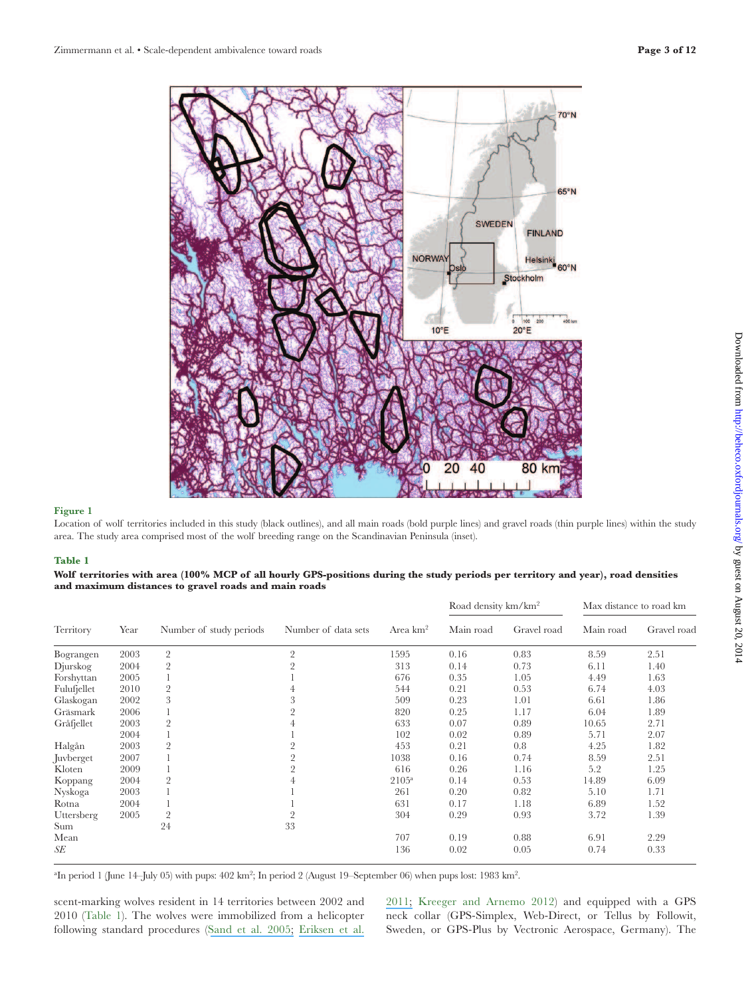

Location of wolf territories included in this study (black outlines), and all main roads (bold purple lines) and gravel roads (thin purple lines) within the study area. The study area comprised most of the wolf breeding range on the Scandinavian Peninsula (inset).

#### **Table 1**

|                                                      | Wolf territories with area (100% MCP of all hourly GPS-positions during the study periods per territory and year), road densities |
|------------------------------------------------------|-----------------------------------------------------------------------------------------------------------------------------------|
| and maximum distances to gravel roads and main roads |                                                                                                                                   |

|             |      |                         |                     |                      | Road density km/km <sup>2</sup> |             | Max distance to road km |             |
|-------------|------|-------------------------|---------------------|----------------------|---------------------------------|-------------|-------------------------|-------------|
| Territory   | Year | Number of study periods | Number of data sets | Area km <sup>2</sup> | Main road                       | Gravel road | Main road               | Gravel road |
| Bograngen   | 2003 | $\overline{2}$          | $\overline{2}$      | 1595                 | 0.16                            | 0.83        | 8.59                    | 2.51        |
| Djurskog    | 2004 | $\overline{2}$          | $\overline{2}$      | 313                  | 0.14                            | 0.73        | 6.11                    | 1.40        |
| Forshyttan  | 2005 |                         |                     | 676                  | 0.35                            | 1.05        | 4.49                    | 1.63        |
| Fulufjellet | 2010 | $\overline{2}$          |                     | 544                  | 0.21                            | 0.53        | 6.74                    | 4.03        |
| Glaskogan   | 2002 | 3                       |                     | 509                  | 0.23                            | 1.01        | 6.61                    | 1.86        |
| Gräsmark    | 2006 |                         |                     | 820                  | 0.25                            | 1.17        | 6.04                    | 1.89        |
| Gråfjellet  | 2003 | $\overline{2}$          |                     | 633                  | 0.07                            | 0.89        | 10.65                   | 2.71        |
|             | 2004 |                         |                     | 102                  | 0.02                            | 0.89        | 5.71                    | 2.07        |
| Halgån      | 2003 |                         |                     | 453                  | 0.21                            | 0.8         | 4.25                    | 1.82        |
| Juvberget   | 2007 |                         | 2                   | 1038                 | 0.16                            | 0.74        | 8.59                    | 2.51        |
| Kloten      | 2009 |                         | 2                   | 616                  | 0.26                            | 1.16        | 5.2                     | 1.25        |
| Koppang     | 2004 |                         |                     | $2105^{\rm a}$       | 0.14                            | 0.53        | 14.89                   | 6.09        |
| Nyskoga     | 2003 |                         |                     | 261                  | 0.20                            | 0.82        | 5.10                    | 1.71        |
| Rotna       | 2004 |                         |                     | 631                  | 0.17                            | 1.18        | 6.89                    | 1.52        |
| Uttersberg  | 2005 | $\overline{2}$          | $\overline{2}$      | 304                  | 0.29                            | 0.93        | 3.72                    | 1.39        |
| Sum         |      | 24                      | 33                  |                      |                                 |             |                         |             |
| Mean        |      |                         |                     | 707                  | 0.19                            | 0.88        | 6.91                    | 2.29        |
| SE          |      |                         |                     | 136                  | 0.02                            | 0.05        | 0.74                    | 0.33        |

<sup>a</sup>In period 1 (June 14–July 05) with pups:  $402 \text{ km}^2$ ; In period 2 (August 19–September 06) when pups lost: 1983 km<sup>2</sup>.

scent-marking wolves resident in 14 territories between 2002 and 2010 (Table 1). The wolves were immobilized from a helicopter following standard procedures ([Sand et al. 2005;](https://www.researchgate.net/publication/261826256_Using_GPS_Technology_and_GIS_Cluster_Analyses_to_Estimate_Kill_Rates_in_Wolf-Ungulate_Ecosystems?el=1_x_8&enrichId=rgreq-d7f53fd3-3807-464e-924a-facfd221f042&enrichSource=Y292ZXJQYWdlOzI2NTA2NTcwMDtBUzoxNDUyOTg1ODAwNTQwMTZAMTQxMTY1MzI4OTQ3MA==) [Eriksen et al.](https://www.researchgate.net/publication/225076629_Activity_patterns_of_predator_and_prey_A_simultaneous_study_of_GPS-collared_wolves_and_moose?el=1_x_8&enrichId=rgreq-d7f53fd3-3807-464e-924a-facfd221f042&enrichSource=Y292ZXJQYWdlOzI2NTA2NTcwMDtBUzoxNDUyOTg1ODAwNTQwMTZAMTQxMTY1MzI4OTQ3MA==)

[2011;](https://www.researchgate.net/publication/225076629_Activity_patterns_of_predator_and_prey_A_simultaneous_study_of_GPS-collared_wolves_and_moose?el=1_x_8&enrichId=rgreq-d7f53fd3-3807-464e-924a-facfd221f042&enrichSource=Y292ZXJQYWdlOzI2NTA2NTcwMDtBUzoxNDUyOTg1ODAwNTQwMTZAMTQxMTY1MzI4OTQ3MA==) Kreeger and Arnemo 2012) and equipped with a GPS neck collar (GPS-Simplex, Web-Direct, or Tellus by Followit, Sweden, or GPS-Plus by Vectronic Aerospace, Germany). The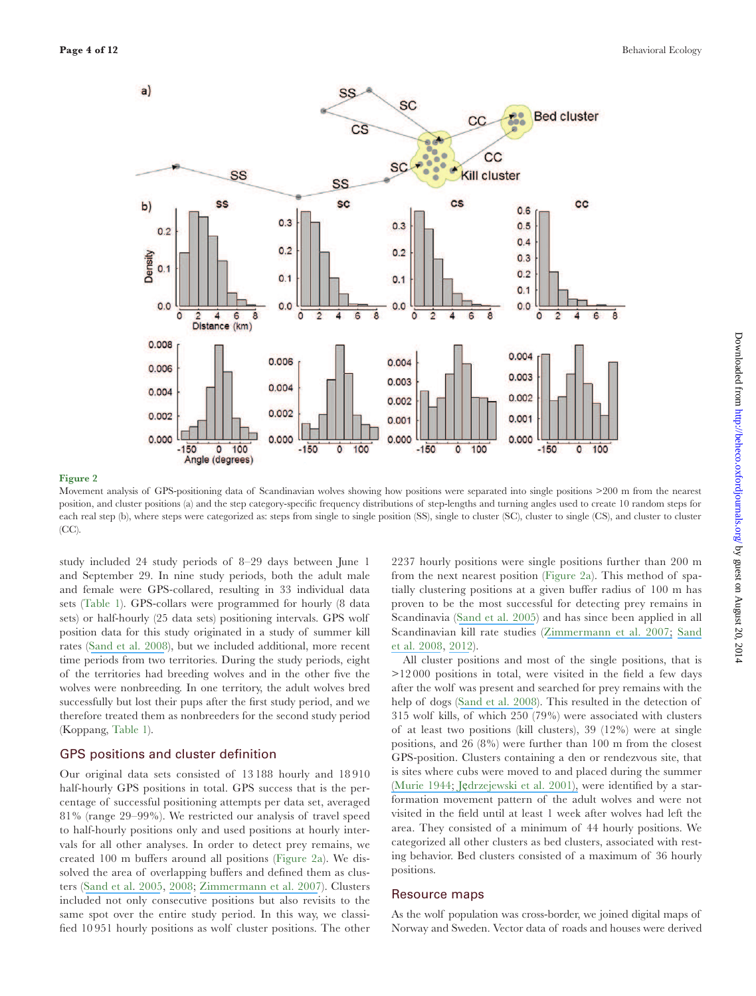![](_page_3_Figure_2.jpeg)

Movement analysis of GPS-positioning data of Scandinavian wolves showing how positions were separated into single positions >200 m from the nearest position, and cluster positions (a) and the step category-speciic frequency distributions of step-lengths and turning angles used to create 10 random steps for each real step (b), where steps were categorized as: steps from single to single position (SS), single to cluster (SC), cluster to single (CS), and cluster to cluster (CC).

study included 24 study periods of 8–29 days between June 1 and September 29. In nine study periods, both the adult male and female were GPS-collared, resulting in 33 individual data sets (Table 1). GPS-collars were programmed for hourly (8 data sets) or half-hourly (25 data sets) positioning intervals. GPS wolf position data for this study originated in a study of summer kill rates ([Sand et al. 2008](https://www.researchgate.net/publication/5580883_Summer_kill_rates_and_predation_pattern_in_a_wolf-moose_system_Can_we_rely_on_winter_estimates?el=1_x_8&enrichId=rgreq-d7f53fd3-3807-464e-924a-facfd221f042&enrichSource=Y292ZXJQYWdlOzI2NTA2NTcwMDtBUzoxNDUyOTg1ODAwNTQwMTZAMTQxMTY1MzI4OTQ3MA==)), but we included additional, more recent time periods from two territories. During the study periods, eight of the territories had breeding wolves and in the other ive the wolves were nonbreeding. In one territory, the adult wolves bred successfully but lost their pups after the irst study period, and we therefore treated them as nonbreeders for the second study period (Koppang, Table 1).

## GPS positions and cluster definition

Our original data sets consisted of 13 188 hourly and 18 910 half-hourly GPS positions in total. GPS success that is the percentage of successful positioning attempts per data set, averaged 81% (range 29–99%). We restricted our analysis of travel speed to half-hourly positions only and used positions at hourly intervals for all other analyses. In order to detect prey remains, we created 100 m bufers around all positions (Figure 2a). We dissolved the area of overlapping buffers and defined them as clusters ([Sand et al. 2005](https://www.researchgate.net/publication/261826256_Using_GPS_Technology_and_GIS_Cluster_Analyses_to_Estimate_Kill_Rates_in_Wolf-Ungulate_Ecosystems?el=1_x_8&enrichId=rgreq-d7f53fd3-3807-464e-924a-facfd221f042&enrichSource=Y292ZXJQYWdlOzI2NTA2NTcwMDtBUzoxNDUyOTg1ODAwNTQwMTZAMTQxMTY1MzI4OTQ3MA==), [2008](https://www.researchgate.net/publication/5580883_Summer_kill_rates_and_predation_pattern_in_a_wolf-moose_system_Can_we_rely_on_winter_estimates?el=1_x_8&enrichId=rgreq-d7f53fd3-3807-464e-924a-facfd221f042&enrichSource=Y292ZXJQYWdlOzI2NTA2NTcwMDtBUzoxNDUyOTg1ODAwNTQwMTZAMTQxMTY1MzI4OTQ3MA==); [Zimmermann et al. 2007](https://www.researchgate.net/publication/230175043_Wolf_Movement_Patterns_a_Key_to_Estimation_of_Kill_Rate?el=1_x_8&enrichId=rgreq-d7f53fd3-3807-464e-924a-facfd221f042&enrichSource=Y292ZXJQYWdlOzI2NTA2NTcwMDtBUzoxNDUyOTg1ODAwNTQwMTZAMTQxMTY1MzI4OTQ3MA==)). Clusters included not only consecutive positions but also revisits to the same spot over the entire study period. In this way, we classified 10951 hourly positions as wolf cluster positions. The other 2237 hourly positions were single positions further than 200 m from the next nearest position (Figure 2a). This method of spatially clustering positions at a given bufer radius of 100 m has proven to be the most successful for detecting prey remains in Scandinavia ([Sand et al. 2005](https://www.researchgate.net/publication/261826256_Using_GPS_Technology_and_GIS_Cluster_Analyses_to_Estimate_Kill_Rates_in_Wolf-Ungulate_Ecosystems?el=1_x_8&enrichId=rgreq-d7f53fd3-3807-464e-924a-facfd221f042&enrichSource=Y292ZXJQYWdlOzI2NTA2NTcwMDtBUzoxNDUyOTg1ODAwNTQwMTZAMTQxMTY1MzI4OTQ3MA==)) and has since been applied in all Scandinavian kill rate studies ([Zimmermann et al. 2007;](https://www.researchgate.net/publication/230175043_Wolf_Movement_Patterns_a_Key_to_Estimation_of_Kill_Rate?el=1_x_8&enrichId=rgreq-d7f53fd3-3807-464e-924a-facfd221f042&enrichSource=Y292ZXJQYWdlOzI2NTA2NTcwMDtBUzoxNDUyOTg1ODAwNTQwMTZAMTQxMTY1MzI4OTQ3MA==) [Sand](https://www.researchgate.net/publication/5580883_Summer_kill_rates_and_predation_pattern_in_a_wolf-moose_system_Can_we_rely_on_winter_estimates?el=1_x_8&enrichId=rgreq-d7f53fd3-3807-464e-924a-facfd221f042&enrichSource=Y292ZXJQYWdlOzI2NTA2NTcwMDtBUzoxNDUyOTg1ODAwNTQwMTZAMTQxMTY1MzI4OTQ3MA==) [et al. 2008](https://www.researchgate.net/publication/5580883_Summer_kill_rates_and_predation_pattern_in_a_wolf-moose_system_Can_we_rely_on_winter_estimates?el=1_x_8&enrichId=rgreq-d7f53fd3-3807-464e-924a-facfd221f042&enrichSource=Y292ZXJQYWdlOzI2NTA2NTcwMDtBUzoxNDUyOTg1ODAwNTQwMTZAMTQxMTY1MzI4OTQ3MA==), [2012](https://www.researchgate.net/publication/230708487_Assessing_the_influence_of_prey-predator_ratio_prey_age_structure_and_packs_size_on_wolf_kill_rates?el=1_x_8&enrichId=rgreq-d7f53fd3-3807-464e-924a-facfd221f042&enrichSource=Y292ZXJQYWdlOzI2NTA2NTcwMDtBUzoxNDUyOTg1ODAwNTQwMTZAMTQxMTY1MzI4OTQ3MA==)).

All cluster positions and most of the single positions, that is  $>12000$  positions in total, were visited in the field a few days after the wolf was present and searched for prey remains with the help of dogs ([Sand et al. 2008](https://www.researchgate.net/publication/5580883_Summer_kill_rates_and_predation_pattern_in_a_wolf-moose_system_Can_we_rely_on_winter_estimates?el=1_x_8&enrichId=rgreq-d7f53fd3-3807-464e-924a-facfd221f042&enrichSource=Y292ZXJQYWdlOzI2NTA2NTcwMDtBUzoxNDUyOTg1ODAwNTQwMTZAMTQxMTY1MzI4OTQ3MA==)). This resulted in the detection of 315 wolf kills, of which 250 (79%) were associated with clusters of at least two positions (kill clusters), 39 (12%) were at single positions, and 26 (8%) were further than 100 m from the closest GPS-position. Clusters containing a den or rendezvous site, that is sites where cubs were moved to and placed during the summer ([Murie 1944;](https://www.researchgate.net/publication/229195484_Wolves_of_Mount_McKinley?el=1_x_8&enrichId=rgreq-d7f53fd3-3807-464e-924a-facfd221f042&enrichSource=Y292ZXJQYWdlOzI2NTA2NTcwMDtBUzoxNDUyOTg1ODAwNTQwMTZAMTQxMTY1MzI4OTQ3MA==) Ję[drzejewski et al. 2001\),](https://www.researchgate.net/publication/237971109_Daily_movements_and_territory_use_by_radio-collared_wolves_Canis_lupus_in_Bialowieza_Primeval_Forest_in_Poland?el=1_x_8&enrichId=rgreq-d7f53fd3-3807-464e-924a-facfd221f042&enrichSource=Y292ZXJQYWdlOzI2NTA2NTcwMDtBUzoxNDUyOTg1ODAwNTQwMTZAMTQxMTY1MzI4OTQ3MA==) were identified by a starformation movement pattern of the adult wolves and were not visited in the ield until at least 1 week after wolves had left the area. They consisted of a minimum of 44 hourly positions. We categorized all other clusters as bed clusters, associated with resting behavior. Bed clusters consisted of a maximum of 36 hourly positions.

#### Resource maps

As the wolf population was cross-border, we joined digital maps of Norway and Sweden. Vector data of roads and houses were derived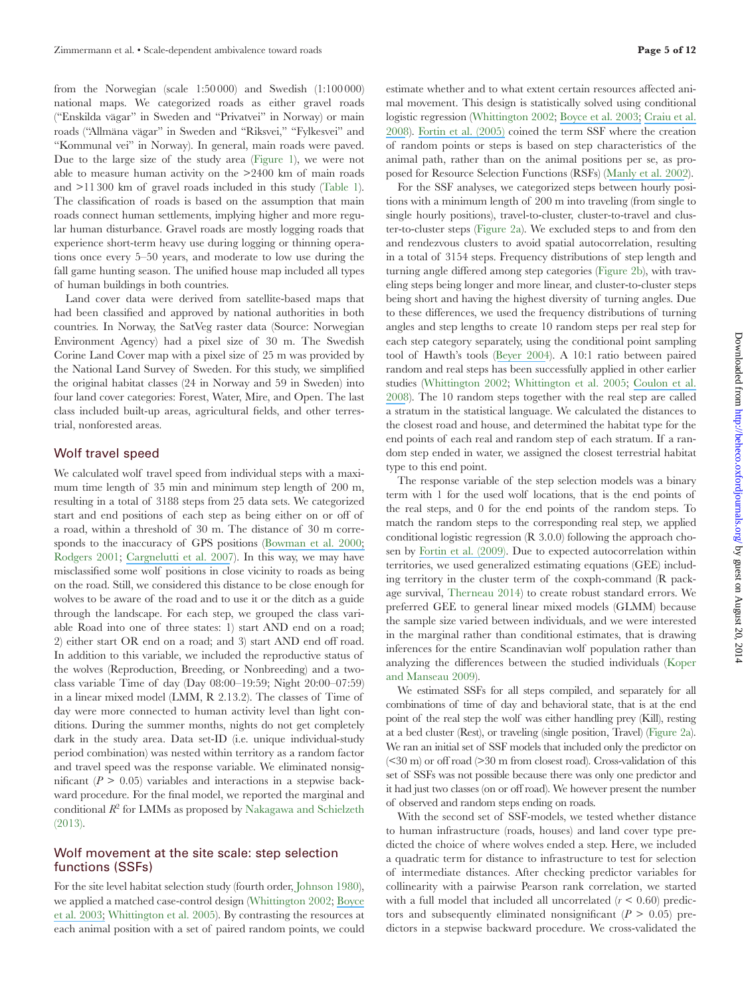from the Norwegian (scale 1:50 000) and Swedish (1:100 000) national maps. We categorized roads as either gravel roads ("Enskilda vägar" in Sweden and "Privatvei" in Norway) or main roads ("Allmäna vägar" in Sweden and "Riksvei," "Fylkesvei" and "Kommunal vei" in Norway). In general, main roads were paved. Due to the large size of the study area (Figure 1), we were not able to measure human activity on the  $>2400$  km of main roads and  $>11300$  km of gravel roads included in this study (Table 1). The classification of roads is based on the assumption that main roads connect human settlements, implying higher and more regular human disturbance. Gravel roads are mostly logging roads that experience short-term heavy use during logging or thinning operations once every 5–50 years, and moderate to low use during the fall game hunting season. The unified house map included all types of human buildings in both countries.

Land cover data were derived from satellite-based maps that had been classified and approved by national authorities in both countries. In Norway, the SatVeg raster data (Source: Norwegian Environment Agency) had a pixel size of 30 m. The Swedish Corine Land Cover map with a pixel size of 25 m was provided by the National Land Survey of Sweden. For this study, we simplified the original habitat classes (24 in Norway and 59 in Sweden) into four land cover categories: Forest, Water, Mire, and Open. The last class included built-up areas, agricultural fields, and other terrestrial, nonforested areas.

#### Wolf travel speed

We calculated wolf travel speed from individual steps with a maximum time length of 35 min and minimum step length of 200 m, resulting in a total of 3188 steps from 25 data sets. We categorized start and end positions of each step as being either on or off of a road, within a threshold of 30 m. The distance of 30 m corresponds to the inaccuracy of GPS positions ([Bowman et al. 2000;](https://www.researchgate.net/publication/262130115_Evaluation_of_a_GPS_Collar_for_White-Tailed_Deer?el=1_x_8&enrichId=rgreq-d7f53fd3-3807-464e-924a-facfd221f042&enrichSource=Y292ZXJQYWdlOzI2NTA2NTcwMDtBUzoxNDUyOTg1ODAwNTQwMTZAMTQxMTY1MzI4OTQ3MA==) Rodgers 2001; [Cargnelutti et al. 2007](https://www.researchgate.net/publication/227774747_Testing_Global_Positioning_System_Performance_for_Wildlife_Monitoring_Using_Mobile_Collars_and_Known_Reference_Points?el=1_x_8&enrichId=rgreq-d7f53fd3-3807-464e-924a-facfd221f042&enrichSource=Y292ZXJQYWdlOzI2NTA2NTcwMDtBUzoxNDUyOTg1ODAwNTQwMTZAMTQxMTY1MzI4OTQ3MA==)). In this way, we may have misclassified some wolf positions in close vicinity to roads as being on the road. Still, we considered this distance to be close enough for wolves to be aware of the road and to use it or the ditch as a guide through the landscape. For each step, we grouped the class variable Road into one of three states: 1) start AND end on a road; 2) either start OR end on a road; and 3) start AND end off road. In addition to this variable, we included the reproductive status of the wolves (Reproduction, Breeding, or Nonbreeding) and a twoclass variable Time of day (Day 08:00–19:59; Night 20:00–07:59) in a linear mixed model (LMM, R 2.13.2). The classes of Time of day were more connected to human activity level than light conditions. During the summer months, nights do not get completely dark in the study area. Data set-ID (i.e. unique individual-study period combination) was nested within territory as a random factor and travel speed was the response variable. We eliminated nonsignificant  $(P > 0.05)$  variables and interactions in a stepwise backward procedure. For the final model, we reported the marginal and conditional *R* 2 for LMMs as proposed by Nakagawa and Schielzeth (2013).

#### Wolf movement at the site scale: step selection functions (SSFs)

For the site level habitat selection study (fourth order, Johnson 1980), we applied a matched case-control design (Whittington 2002; [Boyce](https://www.researchgate.net/publication/228597925_Scale_and_heterogeneity_in_habitat_selection_by_elk_in_Yellowstone_National_Park?el=1_x_8&enrichId=rgreq-d7f53fd3-3807-464e-924a-facfd221f042&enrichSource=Y292ZXJQYWdlOzI2NTA2NTcwMDtBUzoxNDUyOTg1ODAwNTQwMTZAMTQxMTY1MzI4OTQ3MA==) [et al. 2003;](https://www.researchgate.net/publication/228597925_Scale_and_heterogeneity_in_habitat_selection_by_elk_in_Yellowstone_National_Park?el=1_x_8&enrichId=rgreq-d7f53fd3-3807-464e-924a-facfd221f042&enrichSource=Y292ZXJQYWdlOzI2NTA2NTcwMDtBUzoxNDUyOTg1ODAwNTQwMTZAMTQxMTY1MzI4OTQ3MA==) Whittington et al. 2005). By contrasting the resources at each animal position with a set of paired random points, we could

estimate whether and to what extent certain resources afected animal movement. This design is statistically solved using conditional logistic regression (Whittington 2002; [Boyce et al. 2003;](https://www.researchgate.net/publication/228597925_Scale_and_heterogeneity_in_habitat_selection_by_elk_in_Yellowstone_National_Park?el=1_x_8&enrichId=rgreq-d7f53fd3-3807-464e-924a-facfd221f042&enrichSource=Y292ZXJQYWdlOzI2NTA2NTcwMDtBUzoxNDUyOTg1ODAwNTQwMTZAMTQxMTY1MzI4OTQ3MA==) [Craiu et al.](https://www.researchgate.net/publication/5991898_Inference_Methods_for_the_Conditional_Logistic_Regression_Model_with_Longitudinal_Data?el=1_x_8&enrichId=rgreq-d7f53fd3-3807-464e-924a-facfd221f042&enrichSource=Y292ZXJQYWdlOzI2NTA2NTcwMDtBUzoxNDUyOTg1ODAwNTQwMTZAMTQxMTY1MzI4OTQ3MA==) [2008](https://www.researchgate.net/publication/5991898_Inference_Methods_for_the_Conditional_Logistic_Regression_Model_with_Longitudinal_Data?el=1_x_8&enrichId=rgreq-d7f53fd3-3807-464e-924a-facfd221f042&enrichSource=Y292ZXJQYWdlOzI2NTA2NTcwMDtBUzoxNDUyOTg1ODAwNTQwMTZAMTQxMTY1MzI4OTQ3MA==)). [Fortin et al. \(2005\)](https://www.researchgate.net/publication/228623397_Wolves_Influence_Elk_Movements_behavior_Shapes_a_Trophic_Cascade_in_Yellowstone_National_Park?el=1_x_8&enrichId=rgreq-d7f53fd3-3807-464e-924a-facfd221f042&enrichSource=Y292ZXJQYWdlOzI2NTA2NTcwMDtBUzoxNDUyOTg1ODAwNTQwMTZAMTQxMTY1MzI4OTQ3MA==) coined the term SSF where the creation of random points or steps is based on step characteristics of the animal path, rather than on the animal positions per se, as proposed for Resource Selection Functions (RSFs) ([Manly et al. 2002](https://www.researchgate.net/publication/236981977_Resource_Selection_by_Animals_Statistical_Design_and_Analysis_of_Field_Studies?el=1_x_8&enrichId=rgreq-d7f53fd3-3807-464e-924a-facfd221f042&enrichSource=Y292ZXJQYWdlOzI2NTA2NTcwMDtBUzoxNDUyOTg1ODAwNTQwMTZAMTQxMTY1MzI4OTQ3MA==)).

For the SSF analyses, we categorized steps between hourly positions with a minimum length of 200 m into traveling (from single to single hourly positions), travel-to-cluster, cluster-to-travel and cluster-to-cluster steps (Figure 2a). We excluded steps to and from den and rendezvous clusters to avoid spatial autocorrelation, resulting in a total of 3154 steps. Frequency distributions of step length and turning angle difered among step categories (Figure 2b), with traveling steps being longer and more linear, and cluster-to-cluster steps being short and having the highest diversity of turning angles. Due to these diferences, we used the frequency distributions of turning angles and step lengths to create 10 random steps per real step for each step category separately, using the conditional point sampling tool of Hawth's tools ([Beyer 2004](https://www.researchgate.net/publication/262178965_Hawth)). A 10:1 ratio between paired random and real steps has been successfully applied in other earlier studies (Whittington 2002; Whittington et al. 2005; [Coulon et al.](https://www.researchgate.net/publication/226095773_Inferring_the_effects_of_landscape_structure_on_roe_deer_Capreolus_capreolus_movements_using_a_step_selection_function?el=1_x_8&enrichId=rgreq-d7f53fd3-3807-464e-924a-facfd221f042&enrichSource=Y292ZXJQYWdlOzI2NTA2NTcwMDtBUzoxNDUyOTg1ODAwNTQwMTZAMTQxMTY1MzI4OTQ3MA==) [2008](https://www.researchgate.net/publication/226095773_Inferring_the_effects_of_landscape_structure_on_roe_deer_Capreolus_capreolus_movements_using_a_step_selection_function?el=1_x_8&enrichId=rgreq-d7f53fd3-3807-464e-924a-facfd221f042&enrichSource=Y292ZXJQYWdlOzI2NTA2NTcwMDtBUzoxNDUyOTg1ODAwNTQwMTZAMTQxMTY1MzI4OTQ3MA==)). The 10 random steps together with the real step are called a stratum in the statistical language. We calculated the distances to the closest road and house, and determined the habitat type for the end points of each real and random step of each stratum. If a random step ended in water, we assigned the closest terrestrial habitat type to this end point.

The response variable of the step selection models was a binary term with 1 for the used wolf locations, that is the end points of the real steps, and 0 for the end points of the random steps. To match the random steps to the corresponding real step, we applied conditional logistic regression (R 3.0.0) following the approach chosen by [Fortin et al. \(2009\)](https://www.researchgate.net/publication/26826549_Group-mediated_habitat_selection_and_group_fusion-fission_dynamics_of_bison_under_predation_risk?el=1_x_8&enrichId=rgreq-d7f53fd3-3807-464e-924a-facfd221f042&enrichSource=Y292ZXJQYWdlOzI2NTA2NTcwMDtBUzoxNDUyOTg1ODAwNTQwMTZAMTQxMTY1MzI4OTQ3MA==). Due to expected autocorrelation within territories, we used generalized estimating equations (GEE) including territory in the cluster term of the coxph-command (R package survival, Therneau 2014) to create robust standard errors. We preferred GEE to general linear mixed models (GLMM) because the sample size varied between individuals, and we were interested in the marginal rather than conditional estimates, that is drawing inferences for the entire Scandinavian wolf population rather than analyzing the diferences between the studied individuals (Koper and Manseau 2009).

We estimated SSFs for all steps compiled, and separately for all combinations of time of day and behavioral state, that is at the end point of the real step the wolf was either handling prey (Kill), resting at a bed cluster (Rest), or traveling (single position, Travel) (Figure 2a). We ran an initial set of SSF models that included only the predictor on  $(< 30 \text{ m})$  or off road  $(> 30 \text{ m}$  from closest road). Cross-validation of this set of SSFs was not possible because there was only one predictor and it had just two classes (on or off road). We however present the number of observed and random steps ending on roads.

With the second set of SSF-models, we tested whether distance to human infrastructure (roads, houses) and land cover type predicted the choice of where wolves ended a step. Here, we included a quadratic term for distance to infrastructure to test for selection of intermediate distances. After checking predictor variables for collinearity with a pairwise Pearson rank correlation, we started with a full model that included all uncorrelated  $(r < 0.60)$  predictors and subsequently eliminated nonsignificant  $(P > 0.05)$  predictors in a stepwise backward procedure. We cross-validated the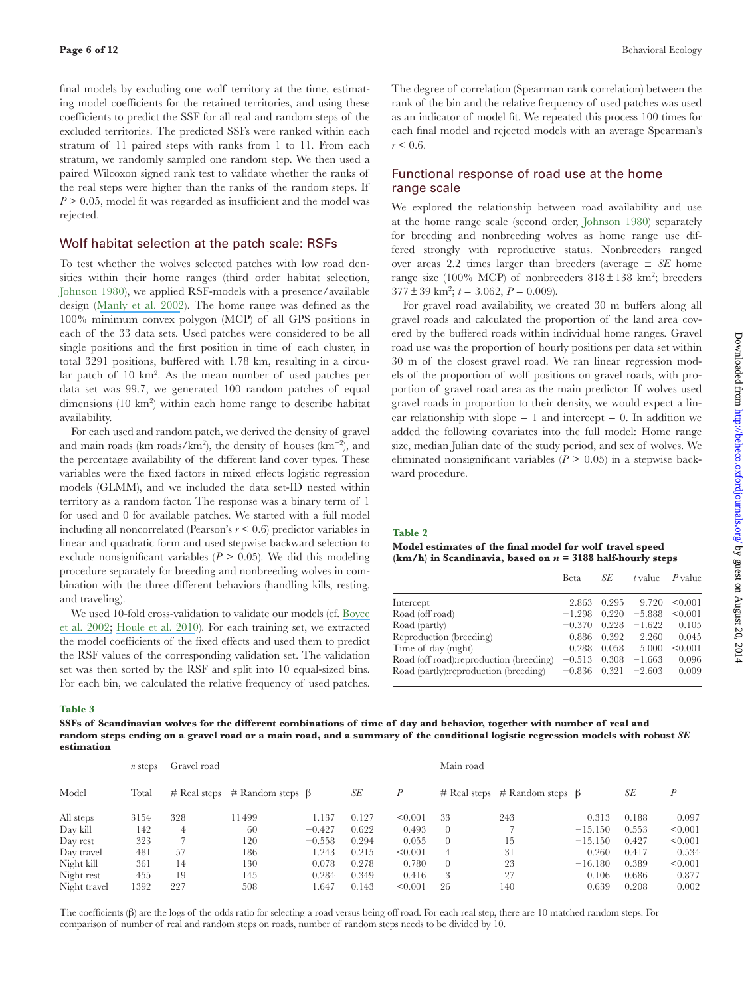final models by excluding one wolf territory at the time, estimating model coefficients for the retained territories, and using these coefficients to predict the SSF for all real and random steps of the excluded territories. The predicted SSFs were ranked within each stratum of 11 paired steps with ranks from 1 to 11. From each stratum, we randomly sampled one random step. We then used a paired Wilcoxon signed rank test to validate whether the ranks of the real steps were higher than the ranks of the random steps. If *P* > 0.05, model fit was regarded as insufficient and the model was rejected.

#### Wolf habitat selection at the patch scale: RSFs

To test whether the wolves selected patches with low road densities within their home ranges (third order habitat selection, Johnson 1980), we applied RSF-models with a presence/available design (Manly et al. 2002). The home range was defined as the 100% minimum convex polygon (MCP) of all GPS positions in each of the 33 data sets. Used patches were considered to be all single positions and the first position in time of each cluster, in total 3291 positions, bufered with 1.78 km, resulting in a circular patch of 10 km<sup>2</sup>. As the mean number of used patches per data set was 99.7, we generated 100 random patches of equal dimensions (10 km<sup>2</sup> ) within each home range to describe habitat availability.

For each used and random patch, we derived the density of gravel and main roads (km roads/km<sup>2</sup> ), the density of houses (km−2), and the percentage availability of the diferent land cover types. These variables were the ixed factors in mixed efects logistic regression models (GLMM), and we included the data set-ID nested within territory as a random factor. The response was a binary term of 1 for used and 0 for available patches. We started with a full model including all noncorrelated (Pearson's *r* < 0.6) predictor variables in linear and quadratic form and used stepwise backward selection to exclude nonsignificant variables  $(P > 0.05)$ . We did this modeling procedure separately for breeding and nonbreeding wolves in combination with the three diferent behaviors (handling kills, resting, and traveling).

We used 10-fold cross-validation to validate our models (cf. [Boyce](https://www.researchgate.net/publication/222519505_Evaluating_Resource_Selection_Functions?el=1_x_8&enrichId=rgreq-d7f53fd3-3807-464e-924a-facfd221f042&enrichSource=Y292ZXJQYWdlOzI2NTA2NTcwMDtBUzoxNDUyOTg1ODAwNTQwMTZAMTQxMTY1MzI4OTQ3MA==)  [et al. 2002;](https://www.researchgate.net/publication/222519505_Evaluating_Resource_Selection_Functions?el=1_x_8&enrichId=rgreq-d7f53fd3-3807-464e-924a-facfd221f042&enrichSource=Y292ZXJQYWdlOzI2NTA2NTcwMDtBUzoxNDUyOTg1ODAwNTQwMTZAMTQxMTY1MzI4OTQ3MA==) [Houle et al. 2010](https://www.researchgate.net/publication/225958585_Cumulative_effects_of_forestry_on_habitat_use_by_gray_wolf_Canis_lupus_in_the_boreal_forest?el=1_x_8&enrichId=rgreq-d7f53fd3-3807-464e-924a-facfd221f042&enrichSource=Y292ZXJQYWdlOzI2NTA2NTcwMDtBUzoxNDUyOTg1ODAwNTQwMTZAMTQxMTY1MzI4OTQ3MA==)). For each training set, we extracted the model coefficients of the fixed effects and used them to predict the RSF values of the corresponding validation set. The validation set was then sorted by the RSF and split into 10 equal-sized bins. For each bin, we calculated the relative frequency of used patches. The degree of correlation (Spearman rank correlation) between the rank of the bin and the relative frequency of used patches was used as an indicator of model it. We repeated this process 100 times for each final model and rejected models with an average Spearman's  $r < 0.6$ .

### Functional response of road use at the home range scale

We explored the relationship between road availability and use at the home range scale (second order, Johnson 1980) separately for breeding and nonbreeding wolves as home range use differed strongly with reproductive status. Nonbreeders ranged over areas 2.2 times larger than breeders (average ± *SE* home range size (100% MCP) of nonbreeders  $818 \pm 138$  km<sup>2</sup>; breeders  $377 \pm 39$  km<sup>2</sup>;  $t = 3.062$ ,  $P = 0.009$ ).

For gravel road availability, we created 30 m buffers along all gravel roads and calculated the proportion of the land area covered by the buffered roads within individual home ranges. Gravel road use was the proportion of hourly positions per data set within 30 m of the closest gravel road. We ran linear regression models of the proportion of wolf positions on gravel roads, with proportion of gravel road area as the main predictor. If wolves used gravel roads in proportion to their density, we would expect a linear relationship with slope  $= 1$  and intercept  $= 0$ . In addition we added the following covariates into the full model: Home range size, median Julian date of the study period, and sex of wolves. We eliminated nonsignificant variables  $(P > 0.05)$  in a stepwise backward procedure.

#### **Table 2**

#### **Model estimates of the inal model for wolf travel speed (km/h) in Scandinavia, based on n = 3188 half-hourly steps**

|                                          | Beta     | SE    | t value  | $P$ value |
|------------------------------------------|----------|-------|----------|-----------|
| Intercept                                | 2.863    | 0.295 | 9.720    | < 0.001   |
| Road (off road)                          | $-1.298$ | 0.220 | $-5.888$ | < 0.001   |
| Road (partly)                            | $-0.370$ | 0.228 | $-1.622$ | 0.105     |
| Reproduction (breeding)                  | 0.886    | 0.392 | 2.260    | 0.045     |
| Time of day (night)                      | 0.288    | 0.058 | 5.000    | < 0.001   |
| Road (off road): reproduction (breeding) | $-0.513$ | 0.308 | $-1.663$ | 0.096     |
| Road (partly): reproduction (breeding)   | $-0.836$ | 0.321 | $-2.603$ | 0.009     |
|                                          |          |       |          |           |

**Table 3**

**SSFs of Scandinavian wolves for the diferent combinations of time of day and behavior, together with number of real and random steps ending on a gravel road or a main road, and a summary of the conditional logistic regression models with robust SE estimation**

|              | n steps | Gravel road |                                           |          |       |                  | Main road |                                           |           |       |                  |
|--------------|---------|-------------|-------------------------------------------|----------|-------|------------------|-----------|-------------------------------------------|-----------|-------|------------------|
| Model        | Total   |             | $\#$ Real steps $\#$ Random steps $\beta$ |          | SE    | $\boldsymbol{P}$ |           | $\#$ Real steps $\#$ Random steps $\beta$ |           | SE    | $\boldsymbol{P}$ |
| All steps    | 3154    | 328         | 11499                                     | 1.137    | 0.127 | < 0.001          | 33        | 243                                       | 0.313     | 0.188 | 0.097            |
| Day kill     | 142     | 4           | 60                                        | $-0.427$ | 0.622 | 0.493            | $\Omega$  |                                           | $-15.150$ | 0.553 | < 0.001          |
| Day rest     | 323     |             | 120                                       | $-0.558$ | 0.294 | 0.055            | $\Omega$  | 15                                        | $-15.150$ | 0.427 | < 0.001          |
| Day travel   | 481     | 57          | 186                                       | 1.243    | 0.215 | < 0.001          | 4         | 31                                        | 0.260     | 0.417 | 0.534            |
| Night kill   | 361     | 14          | 130                                       | 0.078    | 0.278 | 0.780            | $\Omega$  | 23                                        | $-16.180$ | 0.389 | < 0.001          |
| Night rest   | 455     | 19          | 145                                       | 0.284    | 0.349 | 0.416            | 3         | 27                                        | 0.106     | 0.686 | 0.877            |
| Night travel | 1392    | 227         | 508                                       | 1.647    | 0.143 | < 0.001          | 26        | 140                                       | 0.639     | 0.208 | 0.002            |

The coefficients  $(\beta)$  are the logs of the odds ratio for selecting a road versus being off road. For each real step, there are 10 matched random steps. For comparison of number of real and random steps on roads, number of random steps needs to be divided by 10.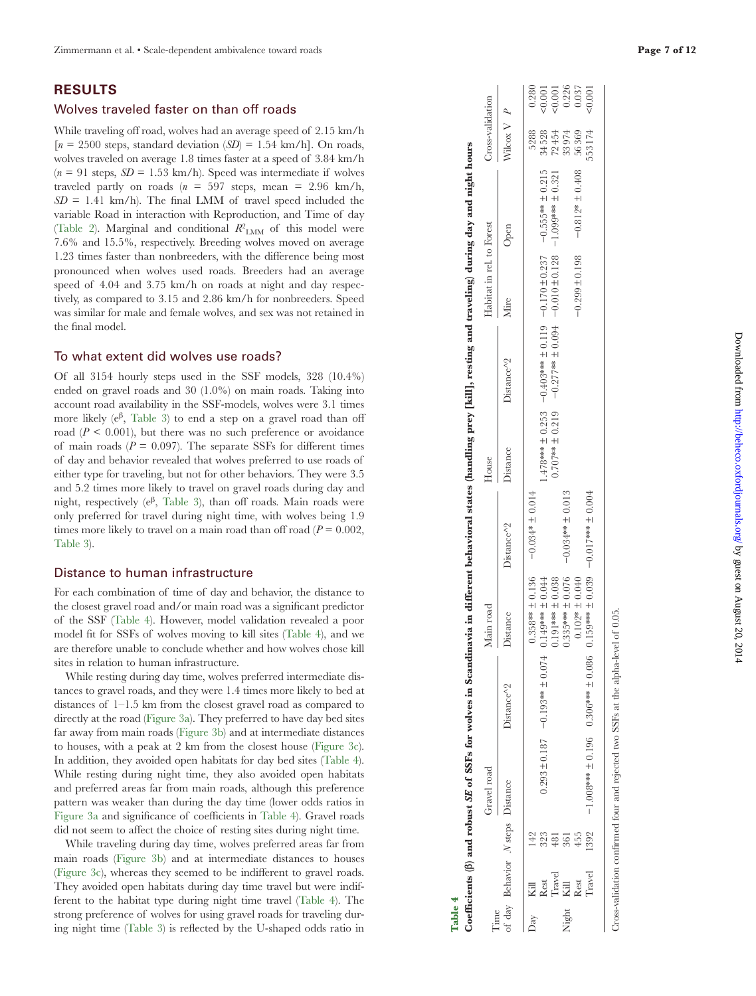# **RESULTS**

#### Wolves traveled faster on than off roads

While traveling off road, wolves had an average speed of 2.15 km/h  $[n = 2500 \text{ steps}, \text{standard deviation } (SD) = 1.54 \text{ km/h}].$  On roads, wolves traveled on average 1.8 times faster at a speed of 3.84 km/h (*n* = 91 steps, *SD* = 1.53 km/h). Speed was intermediate if wolves traveled partly on roads  $(n = 597 \text{ steps}, \text{mean} = 2.96 \text{ km/h},$  $SD = 1.41$  km/h). The final LMM of travel speed included the variable Road in interaction with Reproduction, and Time of day (Table 2). Marginal and conditional  $R^2$ <sub>LMM</sub> of this model were 7.6% and 15.5%, respectively. Breeding wolves moved on average 1.23 times faster than nonbreeders, with the diference being most pronounced when wolves used roads. Breeders had an average speed of 4.04 and 3.75 km/h on roads at night and day respectively, as compared to 3.15 and 2.86 km/h for nonbreeders. Speed was similar for male and female wolves, and sex was not retained in the final model.

#### To what extent did wolves use roads?

Of all 3154 hourly steps used in the SSF models, 328 (10.4%) ended on gravel roads and 30 (1.0%) on main roads. Taking into account road availability in the SSF-models, wolves were 3.1 times more likely ( $e^{\beta}$ , Table 3) to end a step on a gravel road than off road  $(P < 0.001)$ , but there was no such preference or avoidance of main roads  $(P = 0.097)$ . The separate SSFs for different times of day and behavior revealed that wolves preferred to use roads of either type for traveling, but not for other behaviors. They were 3.5 and 5.2 times more likely to travel on gravel roads during day and night, respectively ( $e^{\beta}$ , Table 3), than off roads. Main roads were only preferred for travel during night time, with wolves being 1.9 times more likely to travel on a main road than off road  $(P = 0.002,$ Table 3).

#### Distance to human infrastructure

For each combination of time of day and behavior, the distance to the closest gravel road and/or main road was a significant predictor of the SSF (Table 4). However, model validation revealed a poor model it for SSFs of wolves moving to kill sites (Table 4), and we are therefore unable to conclude whether and how wolves chose kill sites in relation to human infrastructure.

While resting during day time, wolves preferred intermediate dis tances to gravel roads, and they were 1.4 times more likely to bed at distances of 1–1.5 km from the closest gravel road as compared to directly at the road (Figure 3a). They preferred to have day bed sites far away from main roads (Figure 3b) and at intermediate distances to houses, with a peak at 2 km from the closest house (Figure 3c). In addition, they avoided open habitats for day bed sites (Table 4). While resting during night time, they also avoided open habitats and preferred areas far from main roads, although this preference pattern was weaker than during the day time (lower odds ratios in Figure 3a and significance of coefficients in Table 4). Gravel roads did not seem to affect the choice of resting sites during night time.

While traveling during day time, wolves preferred areas far from main roads (Figure 3b) and at intermediate distances to houses (Figure 3c), whereas they seemed to be indiferent to gravel roads. They avoided open habitats during day time travel but were indifferent to the habitat type during night time travel (Table 4). The strong preference of wolves for using gravel roads for traveling dur ing night time (Table 3) is relected by the U-shaped odds ratio in

| $\gamma$ ay |               |                | $±$ 0.136<br>$0.358**$                                                           | $-0.034* \pm 0.014$   |                    |                         |                    |                       | 5288   | 0.280                                      |  |
|-------------|---------------|----------------|----------------------------------------------------------------------------------|-----------------------|--------------------|-------------------------|--------------------|-----------------------|--------|--------------------------------------------|--|
|             | Rest          | 323            | ± 0.044<br>****65TIO + ZOIOH ****66IO- L8IOH 562.0                               |                       | $478*** 10.253$    | $-0.403***$ $\pm$ 0.119 | $-0.170 \pm 0.237$ | $-0.555*** \pm 0.215$ | 34528  |                                            |  |
|             | <b>Travel</b> | $\frac{1}{48}$ | $\pm 0.038$<br>$0.191***$                                                        |                       | $0.707***$ ± 0.219 | $-0.277***$ ± 0.094     | $-0.010 \pm 0.128$ | $-1.099***$ ± 0.321   | 72454  | $(0.001$<br>$(0.001$<br>$0.226$<br>$0.037$ |  |
| Night       |               | 361            | ± 0.076<br>$0.335***$                                                            | $-0.034*** \pm 0.013$ |                    |                         |                    |                       | 33974  |                                            |  |
|             | Kill<br>Rest  | 455            | ± 0.040<br>$0.102*$                                                              |                       |                    |                         | $-0.299 \pm 0.198$ | $-0.812* \pm 0.408$   | 56369  |                                            |  |
|             | <b>Travel</b> | 1392           | ± 0.039<br>***65IO 98000 H ****908'O 96IO H ****8001I-                           | 400:0 ± ****          |                    |                         |                    |                       | 553174 | 50.001                                     |  |
|             |               |                |                                                                                  |                       |                    |                         |                    |                       |        |                                            |  |
|             |               |                | ross-validation confirmed four and rejected two SSFs at the alpha-level of 0.05. |                       |                    |                         |                    |                       |        |                                            |  |

Table 4<br>Coefficients (6) and robust *SE* of SSFs for wolves in Scandinavia in different behavioral states (handling prey [kill], resting and traveling) during day and night hours **Coeicients (β) and robust SE of SSFs for wolves in Scandinavia in diferent behavioral states (handling prey [kill], resting and traveling) during day and night hours** Gravel road Main road House Habitat in rel. to Forest Cross-validation Distance Distance^2 Distance Distance^2 Distance Distance^2 Mire Open Wilcox V *P*

Distance House

Distance<sup>1</sup>2

Distance<sup>1</sup>2

Main road Distance

Distance<sup>1</sup>2

Cross-validation

rel. to Forest Open

Habitat in Viire

 $\overline{P}$ 

Wilcox V

Time

Gravel road

of day Behavior *N* steps

of day

Behavior N<sub>steps</sub> Distance

Cross-validation confirmed four and rejected two SSFs at the alpha-level of 0.05 Cross-validation conirmed four and rejected two SSFs at the alpha-level of 0.05.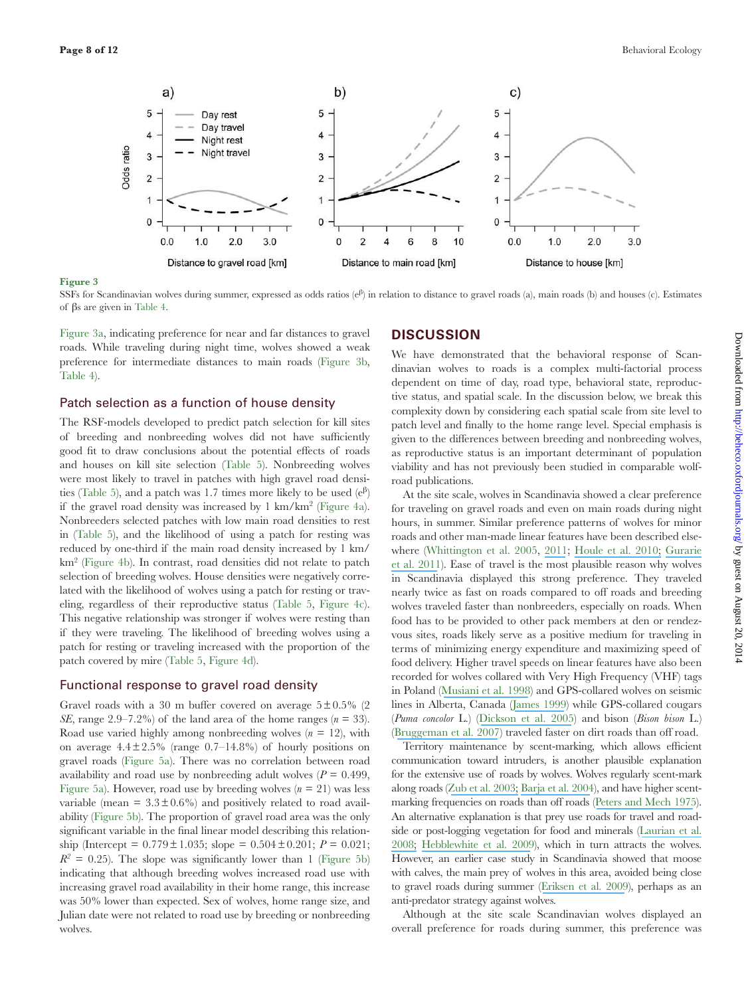![](_page_7_Figure_2.jpeg)

SSFs for Scandinavian wolves during summer, expressed as odds ratios (e<sup>β</sup> ) in relation to distance to gravel roads (a), main roads (b) and houses (c). Estimates of βs are given in Table 4.

Figure 3a, indicating preference for near and far distances to gravel roads. While traveling during night time, wolves showed a weak preference for intermediate distances to main roads (Figure 3b, Table 4).

#### Patch selection as a function of house density

The RSF-models developed to predict patch selection for kill sites of breeding and nonbreeding wolves did not have sufficiently good it to draw conclusions about the potential efects of roads and houses on kill site selection (Table 5). Nonbreeding wolves were most likely to travel in patches with high gravel road densities (Table 5), and a patch was 1.7 times more likely to be used  $(e^{\beta})$ if the gravel road density was increased by 1 km/km<sup>2</sup> (Figure 4a). Nonbreeders selected patches with low main road densities to rest in (Table 5), and the likelihood of using a patch for resting was reduced by one-third if the main road density increased by 1 km/ km<sup>2</sup> (Figure 4b). In contrast, road densities did not relate to patch selection of breeding wolves. House densities were negatively correlated with the likelihood of wolves using a patch for resting or traveling, regardless of their reproductive status (Table 5, Figure 4c). This negative relationship was stronger if wolves were resting than if they were traveling. The likelihood of breeding wolves using a patch for resting or traveling increased with the proportion of the patch covered by mire (Table 5, Figure 4d).

#### Functional response to gravel road density

Gravel roads with a 30 m buffer covered on average  $5 \pm 0.5\%$  (2) *SE*, range 2.9–7.2%) of the land area of the home ranges ( $n = 33$ ). Road use varied highly among nonbreeding wolves  $(n = 12)$ , with on average  $4.4 \pm 2.5\%$  (range  $0.7-14.8\%$ ) of hourly positions on gravel roads (Figure 5a). There was no correlation between road availability and road use by nonbreeding adult wolves  $(P = 0.499,$ Figure 5a). However, road use by breeding wolves  $(n = 21)$  was less variable (mean  $= 3.3 \pm 0.6\%$ ) and positively related to road availability (Figure 5b). The proportion of gravel road area was the only significant variable in the final linear model describing this relationship (Intercept =  $0.779 \pm 1.035$ ; slope =  $0.504 \pm 0.201$ ;  $P = 0.021$ ;  $R^2 = 0.25$ ). The slope was significantly lower than 1 (Figure 5b) indicating that although breeding wolves increased road use with increasing gravel road availability in their home range, this increase was 50% lower than expected. Sex of wolves, home range size, and Julian date were not related to road use by breeding or nonbreeding wolves.

#### **DISCUSSION**

We have demonstrated that the behavioral response of Scandinavian wolves to roads is a complex multi-factorial process dependent on time of day, road type, behavioral state, reproductive status, and spatial scale. In the discussion below, we break this complexity down by considering each spatial scale from site level to patch level and finally to the home range level. Special emphasis is given to the diferences between breeding and nonbreeding wolves, as reproductive status is an important determinant of population viability and has not previously been studied in comparable wolfroad publications.

At the site scale, wolves in Scandinavia showed a clear preference for traveling on gravel roads and even on main roads during night hours, in summer. Similar preference patterns of wolves for minor roads and other man-made linear features have been described elsewhere (Whittington et al. 2005, [2011](https://www.researchgate.net/publication/225292468_Caribou_encounters_with_wolves_increase_near_roads_and_trails_A_time-to-event_approach?el=1_x_8&enrichId=rgreq-d7f53fd3-3807-464e-924a-facfd221f042&enrichSource=Y292ZXJQYWdlOzI2NTA2NTcwMDtBUzoxNDUyOTg1ODAwNTQwMTZAMTQxMTY1MzI4OTQ3MA==); [Houle et al. 2010;](https://www.researchgate.net/publication/225958585_Cumulative_effects_of_forestry_on_habitat_use_by_gray_wolf_Canis_lupus_in_the_boreal_forest?el=1_x_8&enrichId=rgreq-d7f53fd3-3807-464e-924a-facfd221f042&enrichSource=Y292ZXJQYWdlOzI2NTA2NTcwMDtBUzoxNDUyOTg1ODAwNTQwMTZAMTQxMTY1MzI4OTQ3MA==) [Gurarie](https://www.researchgate.net/publication/49729793_Summer_movements_predation_and_habitat_use_of_wolves_in_human-modified_boreal_forests?el=1_x_8&enrichId=rgreq-d7f53fd3-3807-464e-924a-facfd221f042&enrichSource=Y292ZXJQYWdlOzI2NTA2NTcwMDtBUzoxNDUyOTg1ODAwNTQwMTZAMTQxMTY1MzI4OTQ3MA==) [et al. 2011](https://www.researchgate.net/publication/49729793_Summer_movements_predation_and_habitat_use_of_wolves_in_human-modified_boreal_forests?el=1_x_8&enrichId=rgreq-d7f53fd3-3807-464e-924a-facfd221f042&enrichSource=Y292ZXJQYWdlOzI2NTA2NTcwMDtBUzoxNDUyOTg1ODAwNTQwMTZAMTQxMTY1MzI4OTQ3MA==)). Ease of travel is the most plausible reason why wolves in Scandinavia displayed this strong preference. They traveled nearly twice as fast on roads compared to off roads and breeding wolves traveled faster than nonbreeders, especially on roads. When food has to be provided to other pack members at den or rendezvous sites, roads likely serve as a positive medium for traveling in terms of minimizing energy expenditure and maximizing speed of food delivery. Higher travel speeds on linear features have also been recorded for wolves collared with Very High Frequency (VHF) tags in Poland ([Musiani et al. 1998](https://www.researchgate.net/publication/272903112_Jedrzejewski_Speed_and_actual_distances_travelled_by_radiocollared_wolves_in_Bialowieza_Primeval_Forest_Poland?el=1_x_8&enrichId=rgreq-d7f53fd3-3807-464e-924a-facfd221f042&enrichSource=Y292ZXJQYWdlOzI2NTA2NTcwMDtBUzoxNDUyOTg1ODAwNTQwMTZAMTQxMTY1MzI4OTQ3MA==)) and GPS-collared wolves on seismic lines in Alberta, Canada ([James 1999](https://www.researchgate.net/publication/34770400_Effects_of_industrial_development_on_the_predator-prey_relationship_between_wolves_and_caribou_in_northeastern_Alberta?el=1_x_8&enrichId=rgreq-d7f53fd3-3807-464e-924a-facfd221f042&enrichSource=Y292ZXJQYWdlOzI2NTA2NTcwMDtBUzoxNDUyOTg1ODAwNTQwMTZAMTQxMTY1MzI4OTQ3MA==)) while GPS-collared cougars (*Puma concolor* L.) ([Dickson et al. 2005](https://www.researchgate.net/publication/232686785_Dickson_BG_Jenness_JS_Beier_P_Influence_of_vegetation_topography_and_roads_on_cougar_movement_in_southern_California_J_Wildl_Manage_69_264-276?el=1_x_8&enrichId=rgreq-d7f53fd3-3807-464e-924a-facfd221f042&enrichSource=Y292ZXJQYWdlOzI2NTA2NTcwMDtBUzoxNDUyOTg1ODAwNTQwMTZAMTQxMTY1MzI4OTQ3MA==)) and bison (*Bison bison* L.) ([Bruggeman et al. 2007](https://www.researchgate.net/publication/6132156_Covariates_affecting_spatial_variability_in_bison_travel_behavior_in_Yellowstone_National_Park?el=1_x_8&enrichId=rgreq-d7f53fd3-3807-464e-924a-facfd221f042&enrichSource=Y292ZXJQYWdlOzI2NTA2NTcwMDtBUzoxNDUyOTg1ODAwNTQwMTZAMTQxMTY1MzI4OTQ3MA==)) traveled faster on dirt roads than off road.

Territory maintenance by scent-marking, which allows efficient communication toward intruders, is another plausible explanation for the extensive use of roads by wolves. Wolves regularly scent-mark along roads ([Zub et al. 2003;](https://www.researchgate.net/publication/237835635_Wolf_Pack_Territory_Marking_in_the_Bialowieza_Primeval_Forest_Poland?el=1_x_8&enrichId=rgreq-d7f53fd3-3807-464e-924a-facfd221f042&enrichSource=Y292ZXJQYWdlOzI2NTA2NTcwMDtBUzoxNDUyOTg1ODAwNTQwMTZAMTQxMTY1MzI4OTQ3MA==) [Barja et al. 2004](https://www.researchgate.net/publication/8363407_The_importance_of_crossroads_in_faecal_marking_behaviour_in_wolves_Canis_lupus?el=1_x_8&enrichId=rgreq-d7f53fd3-3807-464e-924a-facfd221f042&enrichSource=Y292ZXJQYWdlOzI2NTA2NTcwMDtBUzoxNDUyOTg1ODAwNTQwMTZAMTQxMTY1MzI4OTQ3MA==)), and have higher scent-marking frequencies on roads than off roads ([Peters and Mech 1975](https://www.researchgate.net/publication/21954132_Scent-marking_in_wolves?el=1_x_8&enrichId=rgreq-d7f53fd3-3807-464e-924a-facfd221f042&enrichSource=Y292ZXJQYWdlOzI2NTA2NTcwMDtBUzoxNDUyOTg1ODAwNTQwMTZAMTQxMTY1MzI4OTQ3MA==)). An alternative explanation is that prey use roads for travel and roadside or post-logging vegetation for food and minerals ([Laurian et al.](https://www.researchgate.net/publication/229981866_Behavior_of_Moose_Relative_to_a_Road_Network?el=1_x_8&enrichId=rgreq-d7f53fd3-3807-464e-924a-facfd221f042&enrichSource=Y292ZXJQYWdlOzI2NTA2NTcwMDtBUzoxNDUyOTg1ODAwNTQwMTZAMTQxMTY1MzI4OTQ3MA==) [2008;](https://www.researchgate.net/publication/229981866_Behavior_of_Moose_Relative_to_a_Road_Network?el=1_x_8&enrichId=rgreq-d7f53fd3-3807-464e-924a-facfd221f042&enrichSource=Y292ZXJQYWdlOzI2NTA2NTcwMDtBUzoxNDUyOTg1ODAwNTQwMTZAMTQxMTY1MzI4OTQ3MA==) [Hebblewhite et al. 2009](https://www.researchgate.net/publication/222181026_Trophic_consequences_of_postfire_logging_in_a_wolf-ungulate_system?el=1_x_8&enrichId=rgreq-d7f53fd3-3807-464e-924a-facfd221f042&enrichSource=Y292ZXJQYWdlOzI2NTA2NTcwMDtBUzoxNDUyOTg1ODAwNTQwMTZAMTQxMTY1MzI4OTQ3MA==)), which in turn attracts the wolves. However, an earlier case study in Scandinavia showed that moose with calves, the main prey of wolves in this area, avoided being close to gravel roads during summer ([Eriksen et al. 2009](https://www.researchgate.net/publication/225175464_Encounter_frequencies_between_GPS-collared_wolves_Canis_lupus_and_moose_Alces_alces_in_a_Scandinavian_wolf_territory?el=1_x_8&enrichId=rgreq-d7f53fd3-3807-464e-924a-facfd221f042&enrichSource=Y292ZXJQYWdlOzI2NTA2NTcwMDtBUzoxNDUyOTg1ODAwNTQwMTZAMTQxMTY1MzI4OTQ3MA==)), perhaps as an anti-predator strategy against wolves.

Although at the site scale Scandinavian wolves displayed an overall preference for roads during summer, this preference was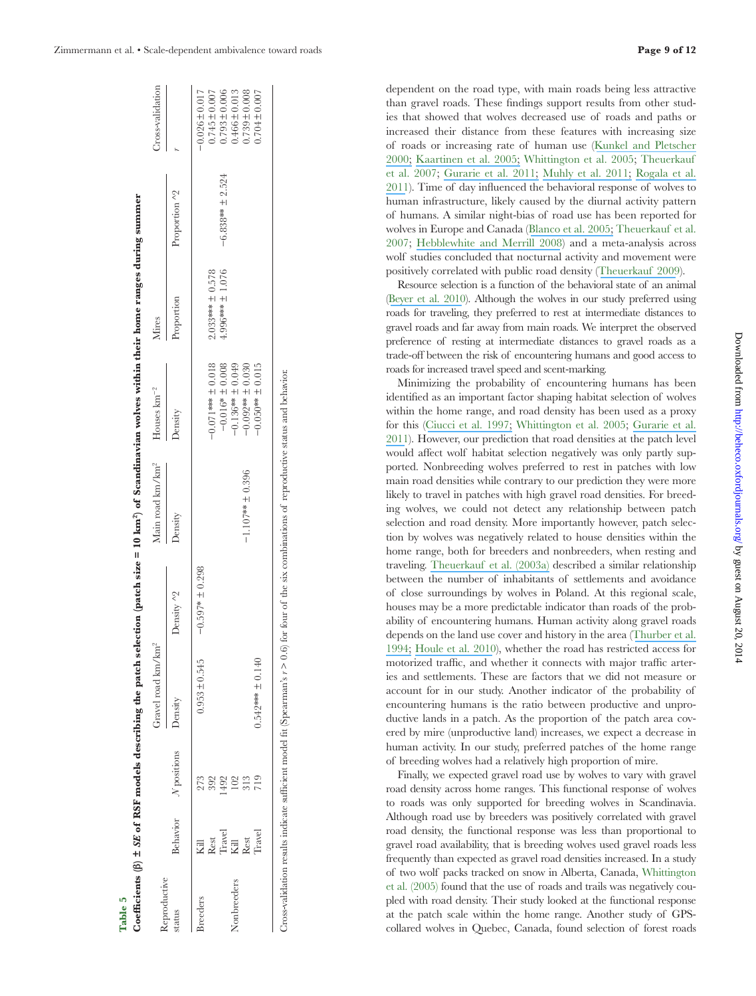| Zimmermann et al. • Scale-dependent ambivalence toward roads |  |  |  |  |  |  |
|--------------------------------------------------------------|--|--|--|--|--|--|
|--------------------------------------------------------------|--|--|--|--|--|--|

| eproductive     |                |                      | Gravel road km/km <sup>2</sup> |                   | Main road km/km <sup>2</sup>                                                                                                                         | Houses $km^{-2}$                          | Mires                |                     | Cross-validation                        |
|-----------------|----------------|----------------------|--------------------------------|-------------------|------------------------------------------------------------------------------------------------------------------------------------------------------|-------------------------------------------|----------------------|---------------------|-----------------------------------------|
| status          |                | Behavior N positions | Density                        | Density ^2        | Density                                                                                                                                              | Density                                   | Proportion           | Proportion ^2       |                                         |
| <b>Sreeders</b> | Rest<br>冠      | 273<br>392           | $0.953 \pm 0.545$              | $-0.597* + 0.298$ |                                                                                                                                                      | $-0.071***$ $\pm 0.018$                   | $2.033***$ ± 0.578   |                     | $-0.026 \pm 0.017$<br>$0.745 \pm 0.007$ |
| Nonbreeders     | Travel<br>Kill |                      |                                |                   |                                                                                                                                                      | $-0.016* \pm 0.008$<br>$-0.136**$ ± 0.049 | $4.996*** \pm 1.076$ | $-6.838***$ ± 2.524 | $0.793 \pm 0.006$<br>$0.466 \pm 0.013$  |
|                 | Rest           | 313                  |                                |                   | $-1.107***$ ± 0.396                                                                                                                                  | $-0.092$ ** $\pm 0.030$                   |                      |                     | $0.739 \pm 0.008$                       |
|                 | Travel         | 719                  | $0.542*** \pm 0.140$           |                   |                                                                                                                                                      | $-0.050***$ ± 0.015                       |                      |                     | $0.704 \pm 0.007$                       |
|                 |                |                      |                                |                   |                                                                                                                                                      |                                           |                      |                     |                                         |
|                 |                |                      |                                |                   | Cross-validation results indicate sufficient model fit (Spearman's $r > 0.6$ ) for four of the six combinations of reproductive status and behavior. |                                           |                      |                     |                                         |
|                 |                |                      |                                |                   |                                                                                                                                                      |                                           |                      |                     |                                         |
|                 |                |                      |                                |                   |                                                                                                                                                      |                                           |                      |                     |                                         |
|                 |                |                      |                                |                   |                                                                                                                                                      |                                           |                      |                     |                                         |

Table 5<br>Coefficients (β) ± SE of RSF models describing the patch selection (patch size = 10 km<sup>2</sup>) of Scandinavian wolves within their home ranges during summer

**β) ± SE of RSF models describing the patch selection (patch size = 10 km2) of Scandinavian wolves within their home ranges during summer**

dependent on the road type, with main roads being less attractive than gravel roads. These findings support results from other studies that showed that wolves decreased use of roads and paths or increased their distance from these features with increasing size of roads or increasing rate of human use ([Kunkel and Pletscher](https://www.researchgate.net/publication/240673828_Habitat_factors_affecting_vulnerability_of_moose_to_predation_by_wolves_in_southeastern_British_Columbia_Can_J_Zool?el=1_x_8&enrichId=rgreq-d7f53fd3-3807-464e-924a-facfd221f042&enrichSource=Y292ZXJQYWdlOzI2NTA2NTcwMDtBUzoxNDUyOTg1ODAwNTQwMTZAMTQxMTY1MzI4OTQ3MA==) [2000;](https://www.researchgate.net/publication/240673828_Habitat_factors_affecting_vulnerability_of_moose_to_predation_by_wolves_in_southeastern_British_Columbia_Can_J_Zool?el=1_x_8&enrichId=rgreq-d7f53fd3-3807-464e-924a-facfd221f042&enrichSource=Y292ZXJQYWdlOzI2NTA2NTcwMDtBUzoxNDUyOTg1ODAwNTQwMTZAMTQxMTY1MzI4OTQ3MA==) [Kaartinen et al. 2005;](https://www.researchgate.net/publication/233588950_Finnish_wolves_avoid_roads_and_settlements?el=1_x_8&enrichId=rgreq-d7f53fd3-3807-464e-924a-facfd221f042&enrichSource=Y292ZXJQYWdlOzI2NTA2NTcwMDtBUzoxNDUyOTg1ODAwNTQwMTZAMTQxMTY1MzI4OTQ3MA==) Whittington et al. 2005; Theuerkauf et al. 2007; [Gurarie et al. 2011;](https://www.researchgate.net/publication/49729793_Summer_movements_predation_and_habitat_use_of_wolves_in_human-modified_boreal_forests?el=1_x_8&enrichId=rgreq-d7f53fd3-3807-464e-924a-facfd221f042&enrichSource=Y292ZXJQYWdlOzI2NTA2NTcwMDtBUzoxNDUyOTg1ODAwNTQwMTZAMTQxMTY1MzI4OTQ3MA==) [Muhly et al. 2011;](https://www.researchgate.net/publication/50377303_Human_Activity_Helps_Prey_Win_the_Predator-Prey_Space_Race?el=1_x_8&enrichId=rgreq-d7f53fd3-3807-464e-924a-facfd221f042&enrichSource=Y292ZXJQYWdlOzI2NTA2NTcwMDtBUzoxNDUyOTg1ODAwNTQwMTZAMTQxMTY1MzI4OTQ3MA==) [Rogala et al.](https://www.researchgate.net/publication/265667488_Human_Activity_Differentially_Redistributes_Large_Mammals_in_the_Canadian_Rockies_National_Parks?el=1_x_8&enrichId=rgreq-d7f53fd3-3807-464e-924a-facfd221f042&enrichSource=Y292ZXJQYWdlOzI2NTA2NTcwMDtBUzoxNDUyOTg1ODAwNTQwMTZAMTQxMTY1MzI4OTQ3MA==) [2011](https://www.researchgate.net/publication/265667488_Human_Activity_Differentially_Redistributes_Large_Mammals_in_the_Canadian_Rockies_National_Parks?el=1_x_8&enrichId=rgreq-d7f53fd3-3807-464e-924a-facfd221f042&enrichSource=Y292ZXJQYWdlOzI2NTA2NTcwMDtBUzoxNDUyOTg1ODAwNTQwMTZAMTQxMTY1MzI4OTQ3MA==)). Time of day inluenced the behavioral response of wolves to human infrastructure, likely caused by the diurnal activity pattern of humans. A similar night-bias of road use has been reported for wolves in Europe and Canada ([Blanco et al. 2005;](https://www.researchgate.net/publication/239804728_Wolf_response_to_two_kind_of_barriers_in_an_agricultural_habitat_in_Spain?el=1_x_8&enrichId=rgreq-d7f53fd3-3807-464e-924a-facfd221f042&enrichSource=Y292ZXJQYWdlOzI2NTA2NTcwMDtBUzoxNDUyOTg1ODAwNTQwMTZAMTQxMTY1MzI4OTQ3MA==) Theuerkauf et al. 2007; [Hebblewhite and Merrill 2008](https://www.researchgate.net/publication/228009492_Modelling_wildlife-human_relationships_for_social_species_with_mixed-effects_resource_selection_models_J_Appl_Ecol?el=1_x_8&enrichId=rgreq-d7f53fd3-3807-464e-924a-facfd221f042&enrichSource=Y292ZXJQYWdlOzI2NTA2NTcwMDtBUzoxNDUyOTg1ODAwNTQwMTZAMTQxMTY1MzI4OTQ3MA==)) and a meta-analysis across wolf studies concluded that nocturnal activity and movement were positively correlated with public road density ([Theuerkauf 2009](https://www.researchgate.net/publication/229694396_What_Drives_Wolves_Fear_or_Hunger_Humans_Diet_Climate_and_Wolf_Activity_Patterns?el=1_x_8&enrichId=rgreq-d7f53fd3-3807-464e-924a-facfd221f042&enrichSource=Y292ZXJQYWdlOzI2NTA2NTcwMDtBUzoxNDUyOTg1ODAwNTQwMTZAMTQxMTY1MzI4OTQ3MA==)).

Resource selection is a function of the behavioral state of an animal ([Beyer et al. 2010](https://www.researchgate.net/publication/44691010_The_interpretation_of_habitat_preference_metrics_under_useavailability_designs?el=1_x_8&enrichId=rgreq-d7f53fd3-3807-464e-924a-facfd221f042&enrichSource=Y292ZXJQYWdlOzI2NTA2NTcwMDtBUzoxNDUyOTg1ODAwNTQwMTZAMTQxMTY1MzI4OTQ3MA==)). Although the wolves in our study preferred using roads for traveling, they preferred to rest at intermediate distances to gravel roads and far away from main roads. We interpret the observed preference of resting at intermediate distances to gravel roads as a trade-of between the risk of encountering humans and good access to roads for increased travel speed and scent-marking.

Minimizing the probability of encountering humans has been identified as an important factor shaping habitat selection of wolves within the home range, and road density has been used as a proxy for this ([Ciucci et al. 1997;](https://www.researchgate.net/publication/297870276_Home_range_activity_and_movements_of_a_wolf_pack_in_central_Italy?el=1_x_8&enrichId=rgreq-d7f53fd3-3807-464e-924a-facfd221f042&enrichSource=Y292ZXJQYWdlOzI2NTA2NTcwMDtBUzoxNDUyOTg1ODAwNTQwMTZAMTQxMTY1MzI4OTQ3MA==) Whittington et al. 2005; [Gurarie et al.](https://www.researchgate.net/publication/49729793_Summer_movements_predation_and_habitat_use_of_wolves_in_human-modified_boreal_forests?el=1_x_8&enrichId=rgreq-d7f53fd3-3807-464e-924a-facfd221f042&enrichSource=Y292ZXJQYWdlOzI2NTA2NTcwMDtBUzoxNDUyOTg1ODAwNTQwMTZAMTQxMTY1MzI4OTQ3MA==) [2011](https://www.researchgate.net/publication/49729793_Summer_movements_predation_and_habitat_use_of_wolves_in_human-modified_boreal_forests?el=1_x_8&enrichId=rgreq-d7f53fd3-3807-464e-924a-facfd221f042&enrichSource=Y292ZXJQYWdlOzI2NTA2NTcwMDtBUzoxNDUyOTg1ODAwNTQwMTZAMTQxMTY1MzI4OTQ3MA==)). However, our prediction that road densities at the patch level would afect wolf habitat selection negatively was only partly supported. Nonbreeding wolves preferred to rest in patches with low main road densities while contrary to our prediction they were more likely to travel in patches with high gravel road densities. For breeding wolves, we could not detect any relationship between patch selection and road density. More importantly however, patch selection by wolves was negatively related to house densities within the home range, both for breeders and nonbreeders, when resting and traveling. [Theuerkauf et al. \(2003a\)](https://www.researchgate.net/publication/237596412_Spatiotemporal_Segregation_of_Wolves_from_Humans_in_the_Bialowieza_Forest_Poland?el=1_x_8&enrichId=rgreq-d7f53fd3-3807-464e-924a-facfd221f042&enrichSource=Y292ZXJQYWdlOzI2NTA2NTcwMDtBUzoxNDUyOTg1ODAwNTQwMTZAMTQxMTY1MzI4OTQ3MA==) described a similar relationship between the number of inhabitants of settlements and avoidance of close surroundings by wolves in Poland. At this regional scale, houses may be a more predictable indicator than roads of the probability of encountering humans. Human activity along gravel roads depends on the land use cover and history in the area ([Thurber et al.](https://www.researchgate.net/publication/216814663_Gray_wolf_response_to_refuge_boundaries_and_roads_in_Alaska?el=1_x_8&enrichId=rgreq-d7f53fd3-3807-464e-924a-facfd221f042&enrichSource=Y292ZXJQYWdlOzI2NTA2NTcwMDtBUzoxNDUyOTg1ODAwNTQwMTZAMTQxMTY1MzI4OTQ3MA==) [1994;](https://www.researchgate.net/publication/216814663_Gray_wolf_response_to_refuge_boundaries_and_roads_in_Alaska?el=1_x_8&enrichId=rgreq-d7f53fd3-3807-464e-924a-facfd221f042&enrichSource=Y292ZXJQYWdlOzI2NTA2NTcwMDtBUzoxNDUyOTg1ODAwNTQwMTZAMTQxMTY1MzI4OTQ3MA==) [Houle et al. 2010](https://www.researchgate.net/publication/225958585_Cumulative_effects_of_forestry_on_habitat_use_by_gray_wolf_Canis_lupus_in_the_boreal_forest?el=1_x_8&enrichId=rgreq-d7f53fd3-3807-464e-924a-facfd221f042&enrichSource=Y292ZXJQYWdlOzI2NTA2NTcwMDtBUzoxNDUyOTg1ODAwNTQwMTZAMTQxMTY1MzI4OTQ3MA==)), whether the road has restricted access for motorized traffic, and whether it connects with major traffic arteries and settlements. These are factors that we did not measure or account for in our study. Another indicator of the probability of encountering humans is the ratio between productive and unproductive lands in a patch. As the proportion of the patch area covered by mire (unproductive land) increases, we expect a decrease in human activity. In our study, preferred patches of the home range of breeding wolves had a relatively high proportion of mire.

Finally, we expected gravel road use by wolves to vary with gravel road density across home ranges. This functional response of wolves to roads was only supported for breeding wolves in Scandinavia. Although road use by breeders was positively correlated with gravel road density, the functional response was less than proportional to gravel road availability, that is breeding wolves used gravel roads less frequently than expected as gravel road densities increased. In a study of two wolf packs tracked on snow in Alberta, Canada, Whittington et al. (2005) found that the use of roads and trails was negatively coupled with road density. Their study looked at the functional response at the patch scale within the home range. Another study of GPScollared wolves in Quebec, Canada, found selection of forest roads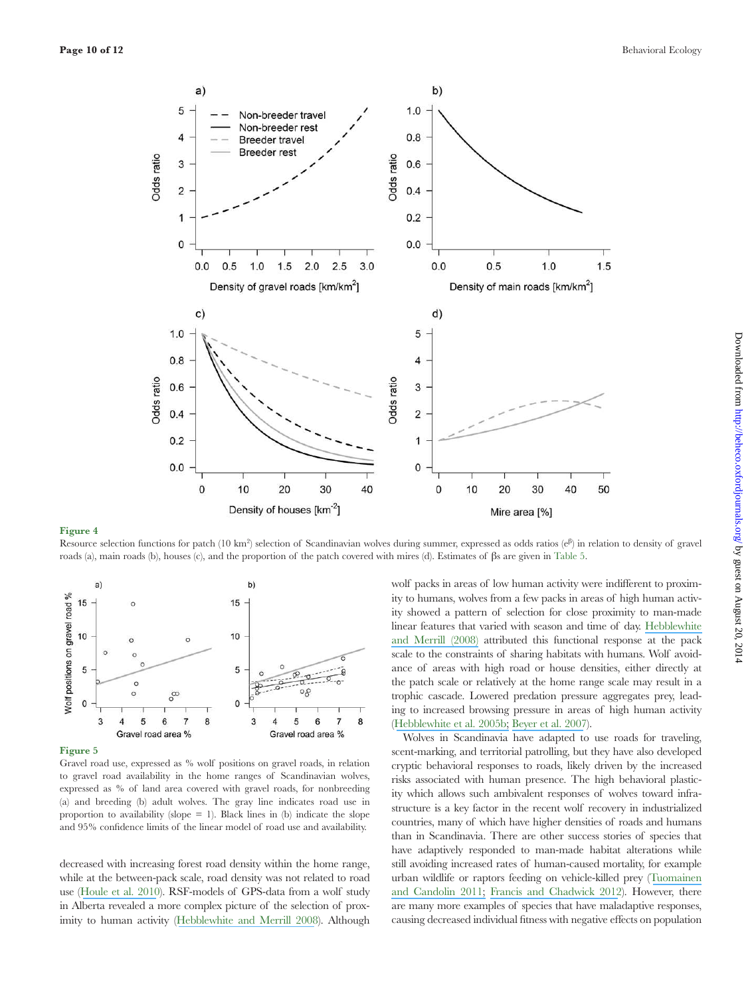![](_page_9_Figure_2.jpeg)

Resource selection functions for patch (10 km<sup>2</sup>) selection of Scandinavian wolves during summer, expressed as odds ratios ( $e^{i\beta}$ ) in relation to density of gravel roads (a), main roads (b), houses (c), and the proportion of the patch covered with mires (d). Estimates of βs are given in Table 5.

![](_page_9_Figure_5.jpeg)

Figure 5

Gravel road use, expressed as % wolf positions on gravel roads, in relation to gravel road availability in the home ranges of Scandinavian wolves, expressed as % of land area covered with gravel roads, for nonbreeding (a) and breeding (b) adult wolves. The gray line indicates road use in proportion to availability (slope  $= 1$ ). Black lines in (b) indicate the slope and 95% confidence limits of the linear model of road use and availability.

decreased with increasing forest road density within the home range, while at the between-pack scale, road density was not related to road use ([Houle et al. 2010](https://www.researchgate.net/publication/225958585_Cumulative_effects_of_forestry_on_habitat_use_by_gray_wolf_Canis_lupus_in_the_boreal_forest?el=1_x_8&enrichId=rgreq-d7f53fd3-3807-464e-924a-facfd221f042&enrichSource=Y292ZXJQYWdlOzI2NTA2NTcwMDtBUzoxNDUyOTg1ODAwNTQwMTZAMTQxMTY1MzI4OTQ3MA==)). RSF-models of GPS-data from a wolf study in Alberta revealed a more complex picture of the selection of proximity to human activity ([Hebblewhite and Merrill 2008](https://www.researchgate.net/publication/228009492_Modelling_wildlife-human_relationships_for_social_species_with_mixed-effects_resource_selection_models_J_Appl_Ecol?el=1_x_8&enrichId=rgreq-d7f53fd3-3807-464e-924a-facfd221f042&enrichSource=Y292ZXJQYWdlOzI2NTA2NTcwMDtBUzoxNDUyOTg1ODAwNTQwMTZAMTQxMTY1MzI4OTQ3MA==)). Although wolf packs in areas of low human activity were indiferent to proximity to humans, wolves from a few packs in areas of high human activity showed a pattern of selection for close proximity to man-made linear features that varied with season and time of day. [Hebblewhite](https://www.researchgate.net/publication/228009492_Modelling_wildlife-human_relationships_for_social_species_with_mixed-effects_resource_selection_models_J_Appl_Ecol?el=1_x_8&enrichId=rgreq-d7f53fd3-3807-464e-924a-facfd221f042&enrichSource=Y292ZXJQYWdlOzI2NTA2NTcwMDtBUzoxNDUyOTg1ODAwNTQwMTZAMTQxMTY1MzI4OTQ3MA==)  [and Merrill \(2008\)](https://www.researchgate.net/publication/228009492_Modelling_wildlife-human_relationships_for_social_species_with_mixed-effects_resource_selection_models_J_Appl_Ecol?el=1_x_8&enrichId=rgreq-d7f53fd3-3807-464e-924a-facfd221f042&enrichSource=Y292ZXJQYWdlOzI2NTA2NTcwMDtBUzoxNDUyOTg1ODAwNTQwMTZAMTQxMTY1MzI4OTQ3MA==) attributed this functional response at the pack scale to the constraints of sharing habitats with humans. Wolf avoidance of areas with high road or house densities, either directly at the patch scale or relatively at the home range scale may result in a trophic cascade. Lowered predation pressure aggregates prey, leading to increased browsing pressure in areas of high human activity ([Hebblewhite et al. 2005b;](https://www.researchgate.net/publication/228636301_Human_activity_mediates_a_trophic_cascade_caused_by_wolves?el=1_x_8&enrichId=rgreq-d7f53fd3-3807-464e-924a-facfd221f042&enrichSource=Y292ZXJQYWdlOzI2NTA2NTcwMDtBUzoxNDUyOTg1ODAwNTQwMTZAMTQxMTY1MzI4OTQ3MA==) [Beyer et al. 2007](https://www.researchgate.net/publication/5932121_Willow_on_Yellowstone)).

Wolves in Scandinavia have adapted to use roads for traveling, scent-marking, and territorial patrolling, but they have also developed cryptic behavioral responses to roads, likely driven by the increased risks associated with human presence. The high behavioral plasticity which allows such ambivalent responses of wolves toward infrastructure is a key factor in the recent wolf recovery in industrialized countries, many of which have higher densities of roads and humans than in Scandinavia. There are other success stories of species that have adaptively responded to man-made habitat alterations while still avoiding increased rates of human-caused mortality, for example urban wildlife or raptors feeding on vehicle-killed prey ([Tuomainen](https://www.researchgate.net/publication/221959525_Behavioral_responses_to_human-induced_environmental_change?el=1_x_8&enrichId=rgreq-d7f53fd3-3807-464e-924a-facfd221f042&enrichSource=Y292ZXJQYWdlOzI2NTA2NTcwMDtBUzoxNDUyOTg1ODAwNTQwMTZAMTQxMTY1MzI4OTQ3MA==) [and Candolin 2011;](https://www.researchgate.net/publication/221959525_Behavioral_responses_to_human-induced_environmental_change?el=1_x_8&enrichId=rgreq-d7f53fd3-3807-464e-924a-facfd221f042&enrichSource=Y292ZXJQYWdlOzI2NTA2NTcwMDtBUzoxNDUyOTg1ODAwNTQwMTZAMTQxMTY1MzI4OTQ3MA==) [Francis and Chadwick 2012](https://www.researchgate.net/publication/236036136_What_makes_a_species_synurbic?el=1_x_8&enrichId=rgreq-d7f53fd3-3807-464e-924a-facfd221f042&enrichSource=Y292ZXJQYWdlOzI2NTA2NTcwMDtBUzoxNDUyOTg1ODAwNTQwMTZAMTQxMTY1MzI4OTQ3MA==)). However, there are many more examples of species that have maladaptive responses, causing decreased individual itness with negative efects on population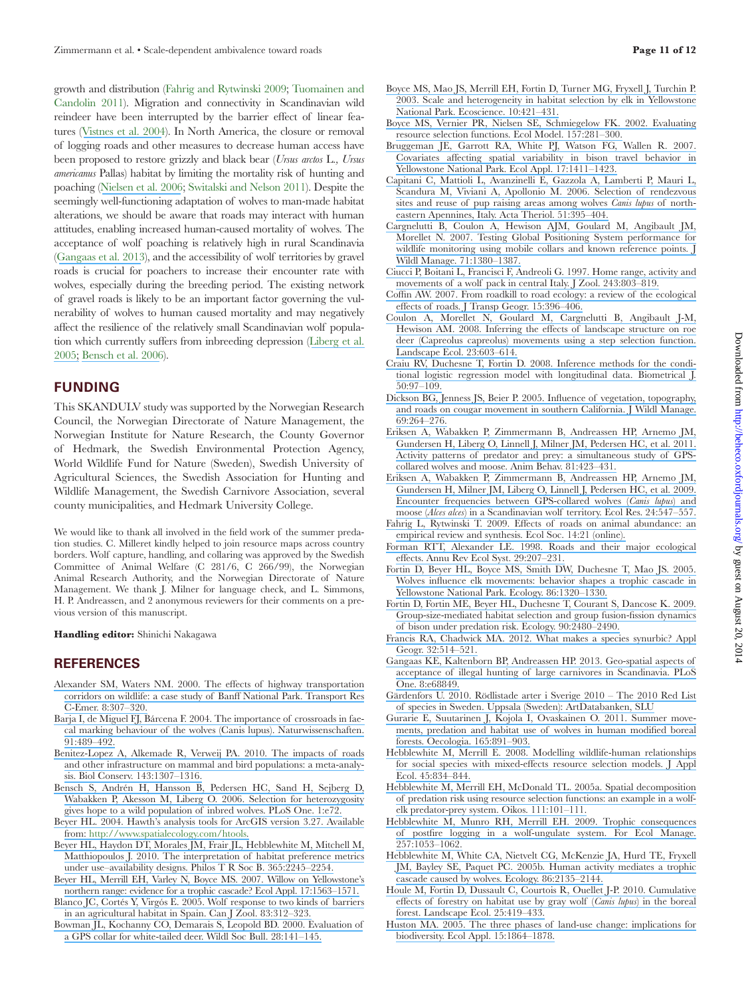growth and distribution (Fahrig and Rytwinski 2009; Tuomainen and Candolin 2011). Migration and connectivity in Scandinavian wild reindeer have been interrupted by the barrier effect of linear features ([Vistnes et al. 2004](https://www.researchgate.net/publication/232682205_Effects_of_Infrastructure_on_Migration_and_Range_Use_of_Wild_Reindeer?el=1_x_8&enrichId=rgreq-d7f53fd3-3807-464e-924a-facfd221f042&enrichSource=Y292ZXJQYWdlOzI2NTA2NTcwMDtBUzoxNDUyOTg1ODAwNTQwMTZAMTQxMTY1MzI4OTQ3MA==)). In North America, the closure or removal of logging roads and other measures to decrease human access have been proposed to restore grizzly and black bear (*Ursus arctos* L.*, Ursus americanus* Pallas) habitat by limiting the mortality risk of hunting and poaching ([Nielsen et al. 2006](https://www.researchgate.net/publication/222417955_A_habitat-based_framework_for_grizzly_bear_conservation_in_Alberta_Biol_Conserv_130217-229?el=1_x_8&enrichId=rgreq-d7f53fd3-3807-464e-924a-facfd221f042&enrichSource=Y292ZXJQYWdlOzI2NTA2NTcwMDtBUzoxNDUyOTg1ODAwNTQwMTZAMTQxMTY1MzI4OTQ3MA==); Switalski and Nelson 2011). Despite the seemingly well-functioning adaptation of wolves to man-made habitat alterations, we should be aware that roads may interact with human attitudes, enabling increased human-caused mortality of wolves. The acceptance of wolf poaching is relatively high in rural Scandinavia ([Gangaas et al. 2013](https://www.researchgate.net/publication/253336409_Geo-Spatial_Aspects_of_Acceptance_of_Illegal_Hunting_of_Large_Carnivores_in_Scandinavia?el=1_x_8&enrichId=rgreq-d7f53fd3-3807-464e-924a-facfd221f042&enrichSource=Y292ZXJQYWdlOzI2NTA2NTcwMDtBUzoxNDUyOTg1ODAwNTQwMTZAMTQxMTY1MzI4OTQ3MA==)), and the accessibility of wolf territories by gravel roads is crucial for poachers to increase their encounter rate with wolves, especially during the breeding period. The existing network of gravel roads is likely to be an important factor governing the vulnerability of wolves to human caused mortality and may negatively afect the resilience of the relatively small Scandinavian wolf population which currently sufers from inbreeding depression ([Liberg et al.](https://www.researchgate.net/publication/6651259_Severe_inbreeding_depression_in_a_wild_wolf_Canis_Iupus_population_Biol_Lett_117-20?el=1_x_8&enrichId=rgreq-d7f53fd3-3807-464e-924a-facfd221f042&enrichSource=Y292ZXJQYWdlOzI2NTA2NTcwMDtBUzoxNDUyOTg1ODAwNTQwMTZAMTQxMTY1MzI4OTQ3MA==) [2005;](https://www.researchgate.net/publication/6651259_Severe_inbreeding_depression_in_a_wild_wolf_Canis_Iupus_population_Biol_Lett_117-20?el=1_x_8&enrichId=rgreq-d7f53fd3-3807-464e-924a-facfd221f042&enrichSource=Y292ZXJQYWdlOzI2NTA2NTcwMDtBUzoxNDUyOTg1ODAwNTQwMTZAMTQxMTY1MzI4OTQ3MA==) [Bensch et al. 2006](https://www.researchgate.net/publication/6616157_Selection_for_Heterozygosity_Gives_Hope_to_a_Wild_Population_of_Inbred_Wolves?el=1_x_8&enrichId=rgreq-d7f53fd3-3807-464e-924a-facfd221f042&enrichSource=Y292ZXJQYWdlOzI2NTA2NTcwMDtBUzoxNDUyOTg1ODAwNTQwMTZAMTQxMTY1MzI4OTQ3MA==)).

#### **FUNDING**

This SKANDULV study was supported by the Norwegian Research Council, the Norwegian Directorate of Nature Management, the Norwegian Institute for Nature Research, the County Governor of Hedmark, the Swedish Environmental Protection Agency, World Wildlife Fund for Nature (Sweden), Swedish University of Agricultural Sciences, the Swedish Association for Hunting and Wildlife Management, the Swedish Carnivore Association, several county municipalities, and Hedmark University College.

We would like to thank all involved in the field work of the summer predation studies. C. Milleret kindly helped to join resource maps across country borders. Wolf capture, handling, and collaring was approved by the Swedish Committee of Animal Welfare (C 281/6, C 266/99), the Norwegian Animal Research Authority, and the Norwegian Directorate of Nature Management. We thank J. Milner for language check, and L. Simmons, H. P. Andreassen, and 2 anonymous reviewers for their comments on a previous version of this manuscript.

**Handling editor:** Shinichi Nakagawa

#### **REFERENCES**

- Alexander SM, Waters NM. 2000. The effects of highway transportation [corridors on wildlife: a case study of Banf National Park. Transport Res](https://www.researchgate.net/publication/223770723_The_effects_of_highway_transportation_corridors_on_wildlife_A_case_study_of_Banff_National_Park?el=1_x_8&enrichId=rgreq-d7f53fd3-3807-464e-924a-facfd221f042&enrichSource=Y292ZXJQYWdlOzI2NTA2NTcwMDtBUzoxNDUyOTg1ODAwNTQwMTZAMTQxMTY1MzI4OTQ3MA==) [C-Emer. 8:307–320.](https://www.researchgate.net/publication/223770723_The_effects_of_highway_transportation_corridors_on_wildlife_A_case_study_of_Banff_National_Park?el=1_x_8&enrichId=rgreq-d7f53fd3-3807-464e-924a-facfd221f042&enrichSource=Y292ZXJQYWdlOzI2NTA2NTcwMDtBUzoxNDUyOTg1ODAwNTQwMTZAMTQxMTY1MzI4OTQ3MA==)
- [Barja I, de Miguel FJ, Bárcena F. 2004. The importance of crossroads in fae](https://www.researchgate.net/publication/8363407_The_importance_of_crossroads_in_faecal_marking_behaviour_in_wolves_Canis_lupus?el=1_x_8&enrichId=rgreq-d7f53fd3-3807-464e-924a-facfd221f042&enrichSource=Y292ZXJQYWdlOzI2NTA2NTcwMDtBUzoxNDUyOTg1ODAwNTQwMTZAMTQxMTY1MzI4OTQ3MA==)[cal marking behaviour of the wolves \(Canis lupus\). Naturwissenschaften.](https://www.researchgate.net/publication/8363407_The_importance_of_crossroads_in_faecal_marking_behaviour_in_wolves_Canis_lupus?el=1_x_8&enrichId=rgreq-d7f53fd3-3807-464e-924a-facfd221f042&enrichSource=Y292ZXJQYWdlOzI2NTA2NTcwMDtBUzoxNDUyOTg1ODAwNTQwMTZAMTQxMTY1MzI4OTQ3MA==) [91:489–492.](https://www.researchgate.net/publication/8363407_The_importance_of_crossroads_in_faecal_marking_behaviour_in_wolves_Canis_lupus?el=1_x_8&enrichId=rgreq-d7f53fd3-3807-464e-924a-facfd221f042&enrichSource=Y292ZXJQYWdlOzI2NTA2NTcwMDtBUzoxNDUyOTg1ODAwNTQwMTZAMTQxMTY1MzI4OTQ3MA==)
- [Benitez-Lopez A, Alkemade R, Verweij PA. 2010. The impacts of roads](https://www.researchgate.net/publication/50925955_The_impacts_of_roads_and_other_infrastructure_on_mammal_and_bird_populations_a_meta-analysis_Biol_Conserv?el=1_x_8&enrichId=rgreq-d7f53fd3-3807-464e-924a-facfd221f042&enrichSource=Y292ZXJQYWdlOzI2NTA2NTcwMDtBUzoxNDUyOTg1ODAwNTQwMTZAMTQxMTY1MzI4OTQ3MA==) [and other infrastructure on mammal and bird populations: a meta-analy](https://www.researchgate.net/publication/50925955_The_impacts_of_roads_and_other_infrastructure_on_mammal_and_bird_populations_a_meta-analysis_Biol_Conserv?el=1_x_8&enrichId=rgreq-d7f53fd3-3807-464e-924a-facfd221f042&enrichSource=Y292ZXJQYWdlOzI2NTA2NTcwMDtBUzoxNDUyOTg1ODAwNTQwMTZAMTQxMTY1MzI4OTQ3MA==)[sis. Biol Conserv. 143:1307–1316.](https://www.researchgate.net/publication/50925955_The_impacts_of_roads_and_other_infrastructure_on_mammal_and_bird_populations_a_meta-analysis_Biol_Conserv?el=1_x_8&enrichId=rgreq-d7f53fd3-3807-464e-924a-facfd221f042&enrichSource=Y292ZXJQYWdlOzI2NTA2NTcwMDtBUzoxNDUyOTg1ODAwNTQwMTZAMTQxMTY1MzI4OTQ3MA==)
- [Bensch S, Andrén H, Hansson B, Pedersen HC, Sand H, Sejberg D,](https://www.researchgate.net/publication/6616157_Selection_for_Heterozygosity_Gives_Hope_to_a_Wild_Population_of_Inbred_Wolves?el=1_x_8&enrichId=rgreq-d7f53fd3-3807-464e-924a-facfd221f042&enrichSource=Y292ZXJQYWdlOzI2NTA2NTcwMDtBUzoxNDUyOTg1ODAwNTQwMTZAMTQxMTY1MzI4OTQ3MA==) [Wabakken P, Akesson M, Liberg O. 2006. Selection for heterozygosity](https://www.researchgate.net/publication/6616157_Selection_for_Heterozygosity_Gives_Hope_to_a_Wild_Population_of_Inbred_Wolves?el=1_x_8&enrichId=rgreq-d7f53fd3-3807-464e-924a-facfd221f042&enrichSource=Y292ZXJQYWdlOzI2NTA2NTcwMDtBUzoxNDUyOTg1ODAwNTQwMTZAMTQxMTY1MzI4OTQ3MA==) [gives hope to a wild population of inbred wolves. PLoS One. 1:e72.](https://www.researchgate.net/publication/6616157_Selection_for_Heterozygosity_Gives_Hope_to_a_Wild_Population_of_Inbred_Wolves?el=1_x_8&enrichId=rgreq-d7f53fd3-3807-464e-924a-facfd221f042&enrichSource=Y292ZXJQYWdlOzI2NTA2NTcwMDtBUzoxNDUyOTg1ODAwNTQwMTZAMTQxMTY1MzI4OTQ3MA==)
- [Beyer HL. 2004. Hawth's analysis tools for ArcGIS version 3.27. Available](https://www.researchgate.net/publication/262178965_Hawth) [from:](https://www.researchgate.net/publication/262178965_Hawth) [http://www.spatialecology.com/htools](http://www.spatialecology.com/htools )[.](https://www.researchgate.net/publication/262178965_Hawth)
- [Beyer HL, Haydon DT, Morales JM, Frair JL, Hebblewhite M, Mitchell M,](https://www.researchgate.net/publication/44691010_The_interpretation_of_habitat_preference_metrics_under_useavailability_designs?el=1_x_8&enrichId=rgreq-d7f53fd3-3807-464e-924a-facfd221f042&enrichSource=Y292ZXJQYWdlOzI2NTA2NTcwMDtBUzoxNDUyOTg1ODAwNTQwMTZAMTQxMTY1MzI4OTQ3MA==) [Matthiopoulos J. 2010. The interpretation of habitat preference metrics](https://www.researchgate.net/publication/44691010_The_interpretation_of_habitat_preference_metrics_under_useavailability_designs?el=1_x_8&enrichId=rgreq-d7f53fd3-3807-464e-924a-facfd221f042&enrichSource=Y292ZXJQYWdlOzI2NTA2NTcwMDtBUzoxNDUyOTg1ODAwNTQwMTZAMTQxMTY1MzI4OTQ3MA==) [under use–availability designs. Philos T R Soc B. 365:2245–2254.](https://www.researchgate.net/publication/44691010_The_interpretation_of_habitat_preference_metrics_under_useavailability_designs?el=1_x_8&enrichId=rgreq-d7f53fd3-3807-464e-924a-facfd221f042&enrichSource=Y292ZXJQYWdlOzI2NTA2NTcwMDtBUzoxNDUyOTg1ODAwNTQwMTZAMTQxMTY1MzI4OTQ3MA==)
- [Beyer HL, Merrill EH, Varley N, Boyce MS. 2007. Willow on Yellowstone's](https://www.researchgate.net/publication/5932121_Willow_on_Yellowstone) [northern range: evidence for a trophic cascade? Ecol Appl. 17:1563–1571.](https://www.researchgate.net/publication/5932121_Willow_on_Yellowstone)
- [Blanco JC, Cortés Y, Virgós E. 2005. Wolf response to two kinds of barriers](https://www.researchgate.net/publication/239804728_Wolf_response_to_two_kind_of_barriers_in_an_agricultural_habitat_in_Spain?el=1_x_8&enrichId=rgreq-d7f53fd3-3807-464e-924a-facfd221f042&enrichSource=Y292ZXJQYWdlOzI2NTA2NTcwMDtBUzoxNDUyOTg1ODAwNTQwMTZAMTQxMTY1MzI4OTQ3MA==) [in an agricultural habitat in Spain. Can J Zool. 83:312–323.](https://www.researchgate.net/publication/239804728_Wolf_response_to_two_kind_of_barriers_in_an_agricultural_habitat_in_Spain?el=1_x_8&enrichId=rgreq-d7f53fd3-3807-464e-924a-facfd221f042&enrichSource=Y292ZXJQYWdlOzI2NTA2NTcwMDtBUzoxNDUyOTg1ODAwNTQwMTZAMTQxMTY1MzI4OTQ3MA==)
- [Bowman JL, Kochanny CO, Demarais S, Leopold BD. 2000. Evaluation of](https://www.researchgate.net/publication/262130115_Evaluation_of_a_GPS_Collar_for_White-Tailed_Deer?el=1_x_8&enrichId=rgreq-d7f53fd3-3807-464e-924a-facfd221f042&enrichSource=Y292ZXJQYWdlOzI2NTA2NTcwMDtBUzoxNDUyOTg1ODAwNTQwMTZAMTQxMTY1MzI4OTQ3MA==) [a GPS collar for white-tailed deer. Wildl Soc Bull. 28:141–145.](https://www.researchgate.net/publication/262130115_Evaluation_of_a_GPS_Collar_for_White-Tailed_Deer?el=1_x_8&enrichId=rgreq-d7f53fd3-3807-464e-924a-facfd221f042&enrichSource=Y292ZXJQYWdlOzI2NTA2NTcwMDtBUzoxNDUyOTg1ODAwNTQwMTZAMTQxMTY1MzI4OTQ3MA==)
- [Boyce MS, Mao JS, Merrill EH, Fortin D, Turner MG, Fryxell J, Turchin P.](https://www.researchgate.net/publication/228597925_Scale_and_heterogeneity_in_habitat_selection_by_elk_in_Yellowstone_National_Park?el=1_x_8&enrichId=rgreq-d7f53fd3-3807-464e-924a-facfd221f042&enrichSource=Y292ZXJQYWdlOzI2NTA2NTcwMDtBUzoxNDUyOTg1ODAwNTQwMTZAMTQxMTY1MzI4OTQ3MA==) [2003. Scale and heterogeneity in habitat selection by elk in Yellowstone](https://www.researchgate.net/publication/228597925_Scale_and_heterogeneity_in_habitat_selection_by_elk_in_Yellowstone_National_Park?el=1_x_8&enrichId=rgreq-d7f53fd3-3807-464e-924a-facfd221f042&enrichSource=Y292ZXJQYWdlOzI2NTA2NTcwMDtBUzoxNDUyOTg1ODAwNTQwMTZAMTQxMTY1MzI4OTQ3MA==) [National Park. Ecoscience. 10:421–431.](https://www.researchgate.net/publication/228597925_Scale_and_heterogeneity_in_habitat_selection_by_elk_in_Yellowstone_National_Park?el=1_x_8&enrichId=rgreq-d7f53fd3-3807-464e-924a-facfd221f042&enrichSource=Y292ZXJQYWdlOzI2NTA2NTcwMDtBUzoxNDUyOTg1ODAwNTQwMTZAMTQxMTY1MzI4OTQ3MA==)
- [Boyce MS, Vernier PR, Nielsen SE, Schmiegelow FK. 2002. Evaluating](https://www.researchgate.net/publication/222519505_Evaluating_Resource_Selection_Functions?el=1_x_8&enrichId=rgreq-d7f53fd3-3807-464e-924a-facfd221f042&enrichSource=Y292ZXJQYWdlOzI2NTA2NTcwMDtBUzoxNDUyOTg1ODAwNTQwMTZAMTQxMTY1MzI4OTQ3MA==) [resource selection functions. Ecol Model. 157:281–300.](https://www.researchgate.net/publication/222519505_Evaluating_Resource_Selection_Functions?el=1_x_8&enrichId=rgreq-d7f53fd3-3807-464e-924a-facfd221f042&enrichSource=Y292ZXJQYWdlOzI2NTA2NTcwMDtBUzoxNDUyOTg1ODAwNTQwMTZAMTQxMTY1MzI4OTQ3MA==)
- [Bruggeman JE, Garrott RA, White PJ, Watson FG, Wallen R. 2007.](https://www.researchgate.net/publication/6132156_Covariates_affecting_spatial_variability_in_bison_travel_behavior_in_Yellowstone_National_Park?el=1_x_8&enrichId=rgreq-d7f53fd3-3807-464e-924a-facfd221f042&enrichSource=Y292ZXJQYWdlOzI2NTA2NTcwMDtBUzoxNDUyOTg1ODAwNTQwMTZAMTQxMTY1MzI4OTQ3MA==) [Covariates afecting spatial variability in bison travel behavior in](https://www.researchgate.net/publication/6132156_Covariates_affecting_spatial_variability_in_bison_travel_behavior_in_Yellowstone_National_Park?el=1_x_8&enrichId=rgreq-d7f53fd3-3807-464e-924a-facfd221f042&enrichSource=Y292ZXJQYWdlOzI2NTA2NTcwMDtBUzoxNDUyOTg1ODAwNTQwMTZAMTQxMTY1MzI4OTQ3MA==) [Yellowstone National Park. Ecol Appl. 17:1411–1423.](https://www.researchgate.net/publication/6132156_Covariates_affecting_spatial_variability_in_bison_travel_behavior_in_Yellowstone_National_Park?el=1_x_8&enrichId=rgreq-d7f53fd3-3807-464e-924a-facfd221f042&enrichSource=Y292ZXJQYWdlOzI2NTA2NTcwMDtBUzoxNDUyOTg1ODAwNTQwMTZAMTQxMTY1MzI4OTQ3MA==)
- [Capitani C, Mattioli L, Avanzinelli E, Gazzola A, Lamberti P, Mauri L,](https://www.researchgate.net/publication/225407226_Selection_of_rendezvous_sites_and_reuse_of_pup_raising_areas_among_wolves_Canis_lupus_of_north-eastern_Apennines_Italy?el=1_x_8&enrichId=rgreq-d7f53fd3-3807-464e-924a-facfd221f042&enrichSource=Y292ZXJQYWdlOzI2NTA2NTcwMDtBUzoxNDUyOTg1ODAwNTQwMTZAMTQxMTY1MzI4OTQ3MA==) [Scandura M, Viviani A, Apollonio M. 2006. Selection of rendezvous](https://www.researchgate.net/publication/225407226_Selection_of_rendezvous_sites_and_reuse_of_pup_raising_areas_among_wolves_Canis_lupus_of_north-eastern_Apennines_Italy?el=1_x_8&enrichId=rgreq-d7f53fd3-3807-464e-924a-facfd221f042&enrichSource=Y292ZXJQYWdlOzI2NTA2NTcwMDtBUzoxNDUyOTg1ODAwNTQwMTZAMTQxMTY1MzI4OTQ3MA==) [sites and reuse of pup raising areas among wolves](https://www.researchgate.net/publication/225407226_Selection_of_rendezvous_sites_and_reuse_of_pup_raising_areas_among_wolves_Canis_lupus_of_north-eastern_Apennines_Italy?el=1_x_8&enrichId=rgreq-d7f53fd3-3807-464e-924a-facfd221f042&enrichSource=Y292ZXJQYWdlOzI2NTA2NTcwMDtBUzoxNDUyOTg1ODAwNTQwMTZAMTQxMTY1MzI4OTQ3MA==) *Canis lupus* of north[eastern Apennines, Italy. Acta Theriol. 51:395–404.](https://www.researchgate.net/publication/225407226_Selection_of_rendezvous_sites_and_reuse_of_pup_raising_areas_among_wolves_Canis_lupus_of_north-eastern_Apennines_Italy?el=1_x_8&enrichId=rgreq-d7f53fd3-3807-464e-924a-facfd221f042&enrichSource=Y292ZXJQYWdlOzI2NTA2NTcwMDtBUzoxNDUyOTg1ODAwNTQwMTZAMTQxMTY1MzI4OTQ3MA==)
- [Cargnelutti B, Coulon A, Hewison AJM, Goulard M, Angibault JM,](https://www.researchgate.net/publication/227774747_Testing_Global_Positioning_System_Performance_for_Wildlife_Monitoring_Using_Mobile_Collars_and_Known_Reference_Points?el=1_x_8&enrichId=rgreq-d7f53fd3-3807-464e-924a-facfd221f042&enrichSource=Y292ZXJQYWdlOzI2NTA2NTcwMDtBUzoxNDUyOTg1ODAwNTQwMTZAMTQxMTY1MzI4OTQ3MA==) [Morellet N. 2007. Testing Global Positioning System performance for](https://www.researchgate.net/publication/227774747_Testing_Global_Positioning_System_Performance_for_Wildlife_Monitoring_Using_Mobile_Collars_and_Known_Reference_Points?el=1_x_8&enrichId=rgreq-d7f53fd3-3807-464e-924a-facfd221f042&enrichSource=Y292ZXJQYWdlOzI2NTA2NTcwMDtBUzoxNDUyOTg1ODAwNTQwMTZAMTQxMTY1MzI4OTQ3MA==) [wildlife monitoring using mobile collars and known reference points. J](https://www.researchgate.net/publication/227774747_Testing_Global_Positioning_System_Performance_for_Wildlife_Monitoring_Using_Mobile_Collars_and_Known_Reference_Points?el=1_x_8&enrichId=rgreq-d7f53fd3-3807-464e-924a-facfd221f042&enrichSource=Y292ZXJQYWdlOzI2NTA2NTcwMDtBUzoxNDUyOTg1ODAwNTQwMTZAMTQxMTY1MzI4OTQ3MA==) [Wildl Manage. 71:1380–1387.](https://www.researchgate.net/publication/227774747_Testing_Global_Positioning_System_Performance_for_Wildlife_Monitoring_Using_Mobile_Collars_and_Known_Reference_Points?el=1_x_8&enrichId=rgreq-d7f53fd3-3807-464e-924a-facfd221f042&enrichSource=Y292ZXJQYWdlOzI2NTA2NTcwMDtBUzoxNDUyOTg1ODAwNTQwMTZAMTQxMTY1MzI4OTQ3MA==)
- [Ciucci P, Boitani L, Francisci F, Andreoli G. 1997. Home range, activity and](https://www.researchgate.net/publication/297870276_Home_range_activity_and_movements_of_a_wolf_pack_in_central_Italy?el=1_x_8&enrichId=rgreq-d7f53fd3-3807-464e-924a-facfd221f042&enrichSource=Y292ZXJQYWdlOzI2NTA2NTcwMDtBUzoxNDUyOTg1ODAwNTQwMTZAMTQxMTY1MzI4OTQ3MA==) [movements of a wolf pack in central Italy. J Zool. 243:803–819.](https://www.researchgate.net/publication/297870276_Home_range_activity_and_movements_of_a_wolf_pack_in_central_Italy?el=1_x_8&enrichId=rgreq-d7f53fd3-3807-464e-924a-facfd221f042&enrichSource=Y292ZXJQYWdlOzI2NTA2NTcwMDtBUzoxNDUyOTg1ODAwNTQwMTZAMTQxMTY1MzI4OTQ3MA==)
- Coffin AW. 2007. From roadkill to road ecology: a review of the ecological [efects of roads. J Transp Geogr. 15:396–406.](https://www.researchgate.net/publication/222688089_From_Roadkill_to_Road_Ecology_A_Review_of_the_Ecological_Effect_of_Roads?el=1_x_8&enrichId=rgreq-d7f53fd3-3807-464e-924a-facfd221f042&enrichSource=Y292ZXJQYWdlOzI2NTA2NTcwMDtBUzoxNDUyOTg1ODAwNTQwMTZAMTQxMTY1MzI4OTQ3MA==)
- [Coulon A, Morellet N, Goulard M, Cargnelutti B, Angibault J-M,](https://www.researchgate.net/publication/226095773_Inferring_the_effects_of_landscape_structure_on_roe_deer_Capreolus_capreolus_movements_using_a_step_selection_function?el=1_x_8&enrichId=rgreq-d7f53fd3-3807-464e-924a-facfd221f042&enrichSource=Y292ZXJQYWdlOzI2NTA2NTcwMDtBUzoxNDUyOTg1ODAwNTQwMTZAMTQxMTY1MzI4OTQ3MA==) [Hewison AM. 2008. Inferring the efects of landscape structure on roe](https://www.researchgate.net/publication/226095773_Inferring_the_effects_of_landscape_structure_on_roe_deer_Capreolus_capreolus_movements_using_a_step_selection_function?el=1_x_8&enrichId=rgreq-d7f53fd3-3807-464e-924a-facfd221f042&enrichSource=Y292ZXJQYWdlOzI2NTA2NTcwMDtBUzoxNDUyOTg1ODAwNTQwMTZAMTQxMTY1MzI4OTQ3MA==) [deer \(Capreolus capreolus\) movements using a step selection function.](https://www.researchgate.net/publication/226095773_Inferring_the_effects_of_landscape_structure_on_roe_deer_Capreolus_capreolus_movements_using_a_step_selection_function?el=1_x_8&enrichId=rgreq-d7f53fd3-3807-464e-924a-facfd221f042&enrichSource=Y292ZXJQYWdlOzI2NTA2NTcwMDtBUzoxNDUyOTg1ODAwNTQwMTZAMTQxMTY1MzI4OTQ3MA==) [Landscape Ecol. 23:603–614.](https://www.researchgate.net/publication/226095773_Inferring_the_effects_of_landscape_structure_on_roe_deer_Capreolus_capreolus_movements_using_a_step_selection_function?el=1_x_8&enrichId=rgreq-d7f53fd3-3807-464e-924a-facfd221f042&enrichSource=Y292ZXJQYWdlOzI2NTA2NTcwMDtBUzoxNDUyOTg1ODAwNTQwMTZAMTQxMTY1MzI4OTQ3MA==)
- [Craiu RV, Duchesne T, Fortin D. 2008. Inference methods for the condi](https://www.researchgate.net/publication/5991898_Inference_Methods_for_the_Conditional_Logistic_Regression_Model_with_Longitudinal_Data?el=1_x_8&enrichId=rgreq-d7f53fd3-3807-464e-924a-facfd221f042&enrichSource=Y292ZXJQYWdlOzI2NTA2NTcwMDtBUzoxNDUyOTg1ODAwNTQwMTZAMTQxMTY1MzI4OTQ3MA==)[tional logistic regression model with longitudinal data. Biometrical J.](https://www.researchgate.net/publication/5991898_Inference_Methods_for_the_Conditional_Logistic_Regression_Model_with_Longitudinal_Data?el=1_x_8&enrichId=rgreq-d7f53fd3-3807-464e-924a-facfd221f042&enrichSource=Y292ZXJQYWdlOzI2NTA2NTcwMDtBUzoxNDUyOTg1ODAwNTQwMTZAMTQxMTY1MzI4OTQ3MA==) [50:97–109.](https://www.researchgate.net/publication/5991898_Inference_Methods_for_the_Conditional_Logistic_Regression_Model_with_Longitudinal_Data?el=1_x_8&enrichId=rgreq-d7f53fd3-3807-464e-924a-facfd221f042&enrichSource=Y292ZXJQYWdlOzI2NTA2NTcwMDtBUzoxNDUyOTg1ODAwNTQwMTZAMTQxMTY1MzI4OTQ3MA==)
- Dickson BG, Jenness JS, Beier P. 2005. Influence of vegetation, topography, [and roads on cougar movement in southern California. J Wildl Manage.](https://www.researchgate.net/publication/232686785_Dickson_BG_Jenness_JS_Beier_P_Influence_of_vegetation_topography_and_roads_on_cougar_movement_in_southern_California_J_Wildl_Manage_69_264-276?el=1_x_8&enrichId=rgreq-d7f53fd3-3807-464e-924a-facfd221f042&enrichSource=Y292ZXJQYWdlOzI2NTA2NTcwMDtBUzoxNDUyOTg1ODAwNTQwMTZAMTQxMTY1MzI4OTQ3MA==) [69:264–276.](https://www.researchgate.net/publication/232686785_Dickson_BG_Jenness_JS_Beier_P_Influence_of_vegetation_topography_and_roads_on_cougar_movement_in_southern_California_J_Wildl_Manage_69_264-276?el=1_x_8&enrichId=rgreq-d7f53fd3-3807-464e-924a-facfd221f042&enrichSource=Y292ZXJQYWdlOzI2NTA2NTcwMDtBUzoxNDUyOTg1ODAwNTQwMTZAMTQxMTY1MzI4OTQ3MA==)
- [Eriksen A, Wabakken P, Zimmermann B, Andreassen HP, Arnemo JM,](https://www.researchgate.net/publication/225076629_Activity_patterns_of_predator_and_prey_A_simultaneous_study_of_GPS-collared_wolves_and_moose?el=1_x_8&enrichId=rgreq-d7f53fd3-3807-464e-924a-facfd221f042&enrichSource=Y292ZXJQYWdlOzI2NTA2NTcwMDtBUzoxNDUyOTg1ODAwNTQwMTZAMTQxMTY1MzI4OTQ3MA==) [Gundersen H, Liberg O, Linnell J, Milner JM, Pedersen HC, et al. 2011.](https://www.researchgate.net/publication/225076629_Activity_patterns_of_predator_and_prey_A_simultaneous_study_of_GPS-collared_wolves_and_moose?el=1_x_8&enrichId=rgreq-d7f53fd3-3807-464e-924a-facfd221f042&enrichSource=Y292ZXJQYWdlOzI2NTA2NTcwMDtBUzoxNDUyOTg1ODAwNTQwMTZAMTQxMTY1MzI4OTQ3MA==) [Activity patterns of predator and prey: a simultaneous study of GPS](https://www.researchgate.net/publication/225076629_Activity_patterns_of_predator_and_prey_A_simultaneous_study_of_GPS-collared_wolves_and_moose?el=1_x_8&enrichId=rgreq-d7f53fd3-3807-464e-924a-facfd221f042&enrichSource=Y292ZXJQYWdlOzI2NTA2NTcwMDtBUzoxNDUyOTg1ODAwNTQwMTZAMTQxMTY1MzI4OTQ3MA==)[collared wolves and moose. Anim Behav. 81:423–431.](https://www.researchgate.net/publication/225076629_Activity_patterns_of_predator_and_prey_A_simultaneous_study_of_GPS-collared_wolves_and_moose?el=1_x_8&enrichId=rgreq-d7f53fd3-3807-464e-924a-facfd221f042&enrichSource=Y292ZXJQYWdlOzI2NTA2NTcwMDtBUzoxNDUyOTg1ODAwNTQwMTZAMTQxMTY1MzI4OTQ3MA==)
- [Eriksen A, Wabakken P, Zimmermann B, Andreassen HP, Arnemo JM,](https://www.researchgate.net/publication/225175464_Encounter_frequencies_between_GPS-collared_wolves_Canis_lupus_and_moose_Alces_alces_in_a_Scandinavian_wolf_territory?el=1_x_8&enrichId=rgreq-d7f53fd3-3807-464e-924a-facfd221f042&enrichSource=Y292ZXJQYWdlOzI2NTA2NTcwMDtBUzoxNDUyOTg1ODAwNTQwMTZAMTQxMTY1MzI4OTQ3MA==) [Gundersen H, Milner JM, Liberg O, Linnell J, Pedersen HC, et al. 2009.](https://www.researchgate.net/publication/225175464_Encounter_frequencies_between_GPS-collared_wolves_Canis_lupus_and_moose_Alces_alces_in_a_Scandinavian_wolf_territory?el=1_x_8&enrichId=rgreq-d7f53fd3-3807-464e-924a-facfd221f042&enrichSource=Y292ZXJQYWdlOzI2NTA2NTcwMDtBUzoxNDUyOTg1ODAwNTQwMTZAMTQxMTY1MzI4OTQ3MA==) [Encounter frequencies between GPS-collared wolves \(](https://www.researchgate.net/publication/225175464_Encounter_frequencies_between_GPS-collared_wolves_Canis_lupus_and_moose_Alces_alces_in_a_Scandinavian_wolf_territory?el=1_x_8&enrichId=rgreq-d7f53fd3-3807-464e-924a-facfd221f042&enrichSource=Y292ZXJQYWdlOzI2NTA2NTcwMDtBUzoxNDUyOTg1ODAwNTQwMTZAMTQxMTY1MzI4OTQ3MA==)*Canis lupus*) and moose (*Alces alces*[\) in a Scandinavian wolf territory. Ecol Res. 24:547–557.](https://www.researchgate.net/publication/225175464_Encounter_frequencies_between_GPS-collared_wolves_Canis_lupus_and_moose_Alces_alces_in_a_Scandinavian_wolf_territory?el=1_x_8&enrichId=rgreq-d7f53fd3-3807-464e-924a-facfd221f042&enrichSource=Y292ZXJQYWdlOzI2NTA2NTcwMDtBUzoxNDUyOTg1ODAwNTQwMTZAMTQxMTY1MzI4OTQ3MA==)
- Fahrig L, Rytwinski T. 2009. Effects of roads on animal abundance: an [empirical review and synthesis. Ecol Soc. 14:21 \(online\).](https://www.researchgate.net/publication/285189261_Effects_of_roads_on_animal_abundance_An_empirical_review_and_synthesis?el=1_x_8&enrichId=rgreq-d7f53fd3-3807-464e-924a-facfd221f042&enrichSource=Y292ZXJQYWdlOzI2NTA2NTcwMDtBUzoxNDUyOTg1ODAwNTQwMTZAMTQxMTY1MzI4OTQ3MA==)
- [Forman RTT, Alexander LE. 1998. Roads and their major ecological](https://www.researchgate.net/publication/223995573_Roads_and_Their_Major_Ecological_Effects?el=1_x_8&enrichId=rgreq-d7f53fd3-3807-464e-924a-facfd221f042&enrichSource=Y292ZXJQYWdlOzI2NTA2NTcwMDtBUzoxNDUyOTg1ODAwNTQwMTZAMTQxMTY1MzI4OTQ3MA==) [efects. Annu Rev Ecol Syst. 29:207–231.](https://www.researchgate.net/publication/223995573_Roads_and_Their_Major_Ecological_Effects?el=1_x_8&enrichId=rgreq-d7f53fd3-3807-464e-924a-facfd221f042&enrichSource=Y292ZXJQYWdlOzI2NTA2NTcwMDtBUzoxNDUyOTg1ODAwNTQwMTZAMTQxMTY1MzI4OTQ3MA==)
- [Fortin D, Beyer HL, Boyce MS, Smith DW, Duchesne T, Mao JS. 2005.](https://www.researchgate.net/publication/228623397_Wolves_Influence_Elk_Movements_behavior_Shapes_a_Trophic_Cascade_in_Yellowstone_National_Park?el=1_x_8&enrichId=rgreq-d7f53fd3-3807-464e-924a-facfd221f042&enrichSource=Y292ZXJQYWdlOzI2NTA2NTcwMDtBUzoxNDUyOTg1ODAwNTQwMTZAMTQxMTY1MzI4OTQ3MA==) [Wolves inluence elk movements: behavior shapes a trophic cascade in](https://www.researchgate.net/publication/228623397_Wolves_Influence_Elk_Movements_behavior_Shapes_a_Trophic_Cascade_in_Yellowstone_National_Park?el=1_x_8&enrichId=rgreq-d7f53fd3-3807-464e-924a-facfd221f042&enrichSource=Y292ZXJQYWdlOzI2NTA2NTcwMDtBUzoxNDUyOTg1ODAwNTQwMTZAMTQxMTY1MzI4OTQ3MA==) [Yellowstone National Park. Ecology. 86:1320–1330.](https://www.researchgate.net/publication/228623397_Wolves_Influence_Elk_Movements_behavior_Shapes_a_Trophic_Cascade_in_Yellowstone_National_Park?el=1_x_8&enrichId=rgreq-d7f53fd3-3807-464e-924a-facfd221f042&enrichSource=Y292ZXJQYWdlOzI2NTA2NTcwMDtBUzoxNDUyOTg1ODAwNTQwMTZAMTQxMTY1MzI4OTQ3MA==)
- [Fortin D, Fortin ME, Beyer HL, Duchesne T, Courant S, Dancose K. 2009.](https://www.researchgate.net/publication/26826549_Group-mediated_habitat_selection_and_group_fusion-fission_dynamics_of_bison_under_predation_risk?el=1_x_8&enrichId=rgreq-d7f53fd3-3807-464e-924a-facfd221f042&enrichSource=Y292ZXJQYWdlOzI2NTA2NTcwMDtBUzoxNDUyOTg1ODAwNTQwMTZAMTQxMTY1MzI4OTQ3MA==) Group-size-mediated habitat selection and group fusion-fission dynamics [of bison under predation risk. Ecology. 90:2480–2490.](https://www.researchgate.net/publication/26826549_Group-mediated_habitat_selection_and_group_fusion-fission_dynamics_of_bison_under_predation_risk?el=1_x_8&enrichId=rgreq-d7f53fd3-3807-464e-924a-facfd221f042&enrichSource=Y292ZXJQYWdlOzI2NTA2NTcwMDtBUzoxNDUyOTg1ODAwNTQwMTZAMTQxMTY1MzI4OTQ3MA==)
- [Francis RA, Chadwick MA. 2012. What makes a species synurbic? Appl](https://www.researchgate.net/publication/236036136_What_makes_a_species_synurbic?el=1_x_8&enrichId=rgreq-d7f53fd3-3807-464e-924a-facfd221f042&enrichSource=Y292ZXJQYWdlOzI2NTA2NTcwMDtBUzoxNDUyOTg1ODAwNTQwMTZAMTQxMTY1MzI4OTQ3MA==) [Geogr. 32:514–521.](https://www.researchgate.net/publication/236036136_What_makes_a_species_synurbic?el=1_x_8&enrichId=rgreq-d7f53fd3-3807-464e-924a-facfd221f042&enrichSource=Y292ZXJQYWdlOzI2NTA2NTcwMDtBUzoxNDUyOTg1ODAwNTQwMTZAMTQxMTY1MzI4OTQ3MA==)
- [Gangaas KE, Kaltenborn BP, Andreassen HP. 2013. Geo-spatial aspects of](https://www.researchgate.net/publication/253336409_Geo-Spatial_Aspects_of_Acceptance_of_Illegal_Hunting_of_Large_Carnivores_in_Scandinavia?el=1_x_8&enrichId=rgreq-d7f53fd3-3807-464e-924a-facfd221f042&enrichSource=Y292ZXJQYWdlOzI2NTA2NTcwMDtBUzoxNDUyOTg1ODAwNTQwMTZAMTQxMTY1MzI4OTQ3MA==) [acceptance of illegal hunting of large carnivores in Scandinavia. PLoS](https://www.researchgate.net/publication/253336409_Geo-Spatial_Aspects_of_Acceptance_of_Illegal_Hunting_of_Large_Carnivores_in_Scandinavia?el=1_x_8&enrichId=rgreq-d7f53fd3-3807-464e-924a-facfd221f042&enrichSource=Y292ZXJQYWdlOzI2NTA2NTcwMDtBUzoxNDUyOTg1ODAwNTQwMTZAMTQxMTY1MzI4OTQ3MA==) [One. 8:e68849.](https://www.researchgate.net/publication/253336409_Geo-Spatial_Aspects_of_Acceptance_of_Illegal_Hunting_of_Large_Carnivores_in_Scandinavia?el=1_x_8&enrichId=rgreq-d7f53fd3-3807-464e-924a-facfd221f042&enrichSource=Y292ZXJQYWdlOzI2NTA2NTcwMDtBUzoxNDUyOTg1ODAwNTQwMTZAMTQxMTY1MzI4OTQ3MA==)
- [Gärdenfors U. 2010. Rödlistade arter i Sverige 2010 The 2010 Red List](https://www.researchgate.net/publication/49729793_Summer_movements_predation_and_habitat_use_of_wolves_in_human-modified_boreal_forests?el=1_x_8&enrichId=rgreq-d7f53fd3-3807-464e-924a-facfd221f042&enrichSource=Y292ZXJQYWdlOzI2NTA2NTcwMDtBUzoxNDUyOTg1ODAwNTQwMTZAMTQxMTY1MzI4OTQ3MA==) [of species in Sweden. Uppsala \(Sweden\): ArtDatabanken, SLU](https://www.researchgate.net/publication/49729793_Summer_movements_predation_and_habitat_use_of_wolves_in_human-modified_boreal_forests?el=1_x_8&enrichId=rgreq-d7f53fd3-3807-464e-924a-facfd221f042&enrichSource=Y292ZXJQYWdlOzI2NTA2NTcwMDtBUzoxNDUyOTg1ODAwNTQwMTZAMTQxMTY1MzI4OTQ3MA==)
- [Gurarie E, Suutarinen J, Kojola I, Ovaskainen O. 2011. Summer move](https://www.researchgate.net/publication/49729793_Summer_movements_predation_and_habitat_use_of_wolves_in_human-modified_boreal_forests?el=1_x_8&enrichId=rgreq-d7f53fd3-3807-464e-924a-facfd221f042&enrichSource=Y292ZXJQYWdlOzI2NTA2NTcwMDtBUzoxNDUyOTg1ODAwNTQwMTZAMTQxMTY1MzI4OTQ3MA==)ments, predation and habitat use of wolves in human modified boreal [forests. Oecologia. 165:891–903.](https://www.researchgate.net/publication/49729793_Summer_movements_predation_and_habitat_use_of_wolves_in_human-modified_boreal_forests?el=1_x_8&enrichId=rgreq-d7f53fd3-3807-464e-924a-facfd221f042&enrichSource=Y292ZXJQYWdlOzI2NTA2NTcwMDtBUzoxNDUyOTg1ODAwNTQwMTZAMTQxMTY1MzI4OTQ3MA==)
- [Hebblewhite M, Merrill E. 2008. Modelling wildlife-human relationships](https://www.researchgate.net/publication/228009492_Modelling_wildlife-human_relationships_for_social_species_with_mixed-effects_resource_selection_models_J_Appl_Ecol?el=1_x_8&enrichId=rgreq-d7f53fd3-3807-464e-924a-facfd221f042&enrichSource=Y292ZXJQYWdlOzI2NTA2NTcwMDtBUzoxNDUyOTg1ODAwNTQwMTZAMTQxMTY1MzI4OTQ3MA==) [for social species with mixed-efects resource selection models. J Appl](https://www.researchgate.net/publication/228009492_Modelling_wildlife-human_relationships_for_social_species_with_mixed-effects_resource_selection_models_J_Appl_Ecol?el=1_x_8&enrichId=rgreq-d7f53fd3-3807-464e-924a-facfd221f042&enrichSource=Y292ZXJQYWdlOzI2NTA2NTcwMDtBUzoxNDUyOTg1ODAwNTQwMTZAMTQxMTY1MzI4OTQ3MA==) [Ecol. 45:834–844.](https://www.researchgate.net/publication/228009492_Modelling_wildlife-human_relationships_for_social_species_with_mixed-effects_resource_selection_models_J_Appl_Ecol?el=1_x_8&enrichId=rgreq-d7f53fd3-3807-464e-924a-facfd221f042&enrichSource=Y292ZXJQYWdlOzI2NTA2NTcwMDtBUzoxNDUyOTg1ODAwNTQwMTZAMTQxMTY1MzI4OTQ3MA==)
- [Hebblewhite M, Merrill EH, McDonald TL. 2005a. Spatial decomposition](https://www.researchgate.net/publication/230207183_Spatial_decomposition_of_predation_risk_using_resource_selection_functions_An_example_in_a_wolf-elk_predator-prey_system?el=1_x_8&enrichId=rgreq-d7f53fd3-3807-464e-924a-facfd221f042&enrichSource=Y292ZXJQYWdlOzI2NTA2NTcwMDtBUzoxNDUyOTg1ODAwNTQwMTZAMTQxMTY1MzI4OTQ3MA==) [of predation risk using resource selection functions: an example in a wolf](https://www.researchgate.net/publication/230207183_Spatial_decomposition_of_predation_risk_using_resource_selection_functions_An_example_in_a_wolf-elk_predator-prey_system?el=1_x_8&enrichId=rgreq-d7f53fd3-3807-464e-924a-facfd221f042&enrichSource=Y292ZXJQYWdlOzI2NTA2NTcwMDtBUzoxNDUyOTg1ODAwNTQwMTZAMTQxMTY1MzI4OTQ3MA==)[elk predator-prey system. Oikos. 111:101–111.](https://www.researchgate.net/publication/230207183_Spatial_decomposition_of_predation_risk_using_resource_selection_functions_An_example_in_a_wolf-elk_predator-prey_system?el=1_x_8&enrichId=rgreq-d7f53fd3-3807-464e-924a-facfd221f042&enrichSource=Y292ZXJQYWdlOzI2NTA2NTcwMDtBUzoxNDUyOTg1ODAwNTQwMTZAMTQxMTY1MzI4OTQ3MA==)
- [Hebblewhite M, Munro RH, Merrill EH. 2009. Trophic consequences](https://www.researchgate.net/publication/222181026_Trophic_consequences_of_postfire_logging_in_a_wolf-ungulate_system?el=1_x_8&enrichId=rgreq-d7f53fd3-3807-464e-924a-facfd221f042&enrichSource=Y292ZXJQYWdlOzI2NTA2NTcwMDtBUzoxNDUyOTg1ODAwNTQwMTZAMTQxMTY1MzI4OTQ3MA==) [of postire logging in a wolf-ungulate system. For Ecol Manage.](https://www.researchgate.net/publication/222181026_Trophic_consequences_of_postfire_logging_in_a_wolf-ungulate_system?el=1_x_8&enrichId=rgreq-d7f53fd3-3807-464e-924a-facfd221f042&enrichSource=Y292ZXJQYWdlOzI2NTA2NTcwMDtBUzoxNDUyOTg1ODAwNTQwMTZAMTQxMTY1MzI4OTQ3MA==) [257:1053–1062.](https://www.researchgate.net/publication/222181026_Trophic_consequences_of_postfire_logging_in_a_wolf-ungulate_system?el=1_x_8&enrichId=rgreq-d7f53fd3-3807-464e-924a-facfd221f042&enrichSource=Y292ZXJQYWdlOzI2NTA2NTcwMDtBUzoxNDUyOTg1ODAwNTQwMTZAMTQxMTY1MzI4OTQ3MA==)
- [Hebblewhite M, White CA, Nietvelt CG, McKenzie JA, Hurd TE, Fryxell](https://www.researchgate.net/publication/228636301_Human_activity_mediates_a_trophic_cascade_caused_by_wolves?el=1_x_8&enrichId=rgreq-d7f53fd3-3807-464e-924a-facfd221f042&enrichSource=Y292ZXJQYWdlOzI2NTA2NTcwMDtBUzoxNDUyOTg1ODAwNTQwMTZAMTQxMTY1MzI4OTQ3MA==) [JM, Bayley SE, Paquet PC. 2005b. Human activity mediates a trophic](https://www.researchgate.net/publication/228636301_Human_activity_mediates_a_trophic_cascade_caused_by_wolves?el=1_x_8&enrichId=rgreq-d7f53fd3-3807-464e-924a-facfd221f042&enrichSource=Y292ZXJQYWdlOzI2NTA2NTcwMDtBUzoxNDUyOTg1ODAwNTQwMTZAMTQxMTY1MzI4OTQ3MA==) [cascade caused by wolves. Ecology. 86:2135–2144.](https://www.researchgate.net/publication/228636301_Human_activity_mediates_a_trophic_cascade_caused_by_wolves?el=1_x_8&enrichId=rgreq-d7f53fd3-3807-464e-924a-facfd221f042&enrichSource=Y292ZXJQYWdlOzI2NTA2NTcwMDtBUzoxNDUyOTg1ODAwNTQwMTZAMTQxMTY1MzI4OTQ3MA==)
- [Houle M, Fortin D, Dussault C, Courtois R, Ouellet J-P. 2010. Cumulative](https://www.researchgate.net/publication/225958585_Cumulative_effects_of_forestry_on_habitat_use_by_gray_wolf_Canis_lupus_in_the_boreal_forest?el=1_x_8&enrichId=rgreq-d7f53fd3-3807-464e-924a-facfd221f042&enrichSource=Y292ZXJQYWdlOzI2NTA2NTcwMDtBUzoxNDUyOTg1ODAwNTQwMTZAMTQxMTY1MzI4OTQ3MA==) [efects of forestry on habitat use by gray wolf \(](https://www.researchgate.net/publication/225958585_Cumulative_effects_of_forestry_on_habitat_use_by_gray_wolf_Canis_lupus_in_the_boreal_forest?el=1_x_8&enrichId=rgreq-d7f53fd3-3807-464e-924a-facfd221f042&enrichSource=Y292ZXJQYWdlOzI2NTA2NTcwMDtBUzoxNDUyOTg1ODAwNTQwMTZAMTQxMTY1MzI4OTQ3MA==)*Canis lupus*) in the boreal [forest. Landscape Ecol. 25:419–433.](https://www.researchgate.net/publication/225958585_Cumulative_effects_of_forestry_on_habitat_use_by_gray_wolf_Canis_lupus_in_the_boreal_forest?el=1_x_8&enrichId=rgreq-d7f53fd3-3807-464e-924a-facfd221f042&enrichSource=Y292ZXJQYWdlOzI2NTA2NTcwMDtBUzoxNDUyOTg1ODAwNTQwMTZAMTQxMTY1MzI4OTQ3MA==)
- [Huston MA. 2005. The three phases of land-use change: implications for](https://www.researchgate.net/publication/50280957_The_Three_Phases_of_Land-Use_Change_Implications_for_Biodiversity?el=1_x_8&enrichId=rgreq-d7f53fd3-3807-464e-924a-facfd221f042&enrichSource=Y292ZXJQYWdlOzI2NTA2NTcwMDtBUzoxNDUyOTg1ODAwNTQwMTZAMTQxMTY1MzI4OTQ3MA==) [biodiversity. Ecol Appl. 15:1864–1878.](https://www.researchgate.net/publication/50280957_The_Three_Phases_of_Land-Use_Change_Implications_for_Biodiversity?el=1_x_8&enrichId=rgreq-d7f53fd3-3807-464e-924a-facfd221f042&enrichSource=Y292ZXJQYWdlOzI2NTA2NTcwMDtBUzoxNDUyOTg1ODAwNTQwMTZAMTQxMTY1MzI4OTQ3MA==)